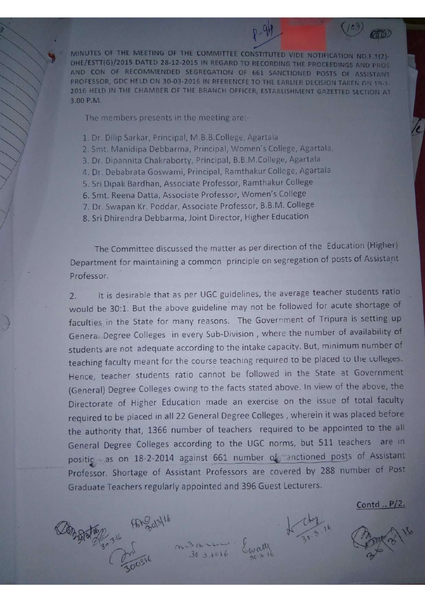MINUTES OF THE MEETING OF THE COMMITTEE CONSTITUTED VIDE NOTIFICATION NO.F.1(2)-DHE/ESTT(G)/2015 DATED 28-12-2015 IN REGARD TO RECORDING THE PROCEEDINGS AND PROS AND CON OF RECOMMENDED SEGREGATION OF 661 SANCTIONED POSTS OF ASSISTANT PROFESSOR, GDC HELD ON 30-03-2016 IN RFERENCFE TO THE EARLIER DECISION TAKEN ON 19-1-2016 HELD IN THE CHAMBER OF THE BRANCH OFFICER, ESTABLISHMENT GAZETTED SECTION AT 3.00 P.M.

The members presents in the meeting are:-

30 31 50 91 2019/11

- 1. Dr. Dilip Sarkar, Principal, M.B.B.College, Agartala
- 2. Smt. Manidipa Debbarma, Principal, Women's College, Agartala,
- 3. Dr. Dipannita Chakraborty, Principal, B.B.M.College, Agartala
- 4. Dr. Debabrata Goswami, Principal, Ramthakur College, Agartala
- 5. Sri Dipak Bardhan, Associate Professor, Ramthakur College
- 6. Smt. Reena Datta, Associate Professor, Women's College
- 7. Dr. Swapan Kr. Poddar, Associate Professor, B.B.M. College
- 8. Sri Dhirendra Debbarma, Joint Director, Higher Education

The Committee discussed the matter as per direction of the Education (Higher) Department for maintaining a common principle on segregation of posts of Assistant Professor.

It is desirable that as per UGC guidelines, the average teacher students ratio  $\overline{2}$ would be 30:1. But the above guideline may not be followed for acute shortage of faculties in the State for many reasons. The Government of Tripura is setting up General Degree Colleges in every Sub-Division, where the number of availability of students are not adequate according to the intake capacity. But, minimum number of teaching faculty meant for the course teaching required to be placed to the colleges. Hence, teacher students ratio cannot be followed in the State at Government (General) Degree Colleges owing to the facts stated above. In view of the above, the Directorate of Higher Education made an exercise on the issue of total faculty required to be placed in all 22 General Degree Colleges, wherein it was placed before the authority that, 1366 number of teachers required to be appointed to the all General Degree Colleges according to the UGC norms, but 511 teachers are in positic as on 18-2-2014 against 661 number of anctioned posts of Assistant Professor. Shortage of Assistant Professors are covered by 288 number of Post Graduate Teachers regularly appointed and 396 Guest Lecturers.

Contd .. P/2.

行航D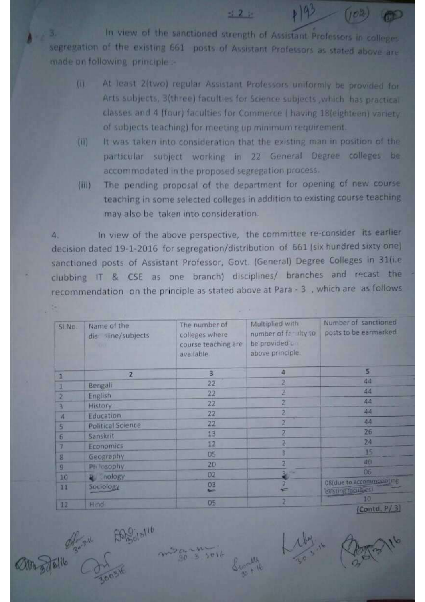In view of the sanctioned strength of Assistant Professors in colleges  $A \rightarrow 3$ segregation of the existing 661 posts of Assistant Professors as stated above are made on following, principle :-

> At least 2(two) regular Assistant Professors uniformly be provided for  $\overline{u}$ Arts subjects, 3(three) faculties for Science subjects , which has practical classes and 4 (four) faculties for Commerce ( having 18(eighteen) variety of subjects teaching) for meeting up minimum requirement.

 $-12 - 1$ 

 $19^{9}$  (102) 00

- $(ii)$ It was taken into consideration that the existing man in position of the particular subject working in 22 General Degree colleges be accommodated in the proposed segregation process.
- The pending proposal of the department for opening of new course  $(iii)$ teaching in some selected colleges in addition to existing course teaching may also be taken into consideration.

In view of the above perspective, the committee re-consider its earlier  $\Delta$ . decision dated 19-1-2016 for segregation/distribution of 661 (six hundred sixty one) sanctioned posts of Assistant Professor, Govt. (General) Degree Colleges in 31(i.e. clubbing IT & CSE as one branch) disciplines/ branches and recast the recommendation on the principle as stated above at Para - 3, which are as follows

| SI.No.         | Name of the<br>dis line/subjects<br><b>CASHER</b> | The number of<br>colleges where<br>course teaching are<br>available. | Multiplied with<br>number of faculty to<br>be provided un<br>above principle. | Number of sanctioned<br>posts to be earmarked   |
|----------------|---------------------------------------------------|----------------------------------------------------------------------|-------------------------------------------------------------------------------|-------------------------------------------------|
| 1              | 2                                                 | 3                                                                    | 4                                                                             | 5                                               |
| ı              | Bengali                                           | 22                                                                   |                                                                               | 44                                              |
| $\overline{z}$ | English                                           | 22                                                                   |                                                                               | 44                                              |
| ٩              | History                                           | 22                                                                   | 2                                                                             | 44                                              |
| $\overline{a}$ | Education                                         | 22                                                                   |                                                                               | 44                                              |
| 5              | <b>Political Science</b>                          | 22                                                                   |                                                                               | 44                                              |
| $\sqrt{6}$     | Sanskrit                                          | 13                                                                   |                                                                               | 26                                              |
|                | Economics                                         | 12                                                                   |                                                                               | 24                                              |
|                | Geography                                         | O <sub>5</sub>                                                       |                                                                               | 15                                              |
| 8              | Ph losophy                                        | 20                                                                   |                                                                               | 40                                              |
| 9              |                                                   | 02                                                                   | 包                                                                             | 06                                              |
| 10<br>11       | <b>Q</b> nology<br>Sociology                      | 03<br><b>College</b>                                                 |                                                                               | 08(due to accommodating<br>existing facilities. |
| 12             | Hindi:                                            | 05                                                                   | 2                                                                             | 10<br>$I$ <sub>c</sub> $I$ $I$ $I$ $I$ $I$      |

 $603.1016$ 

THE BOOKING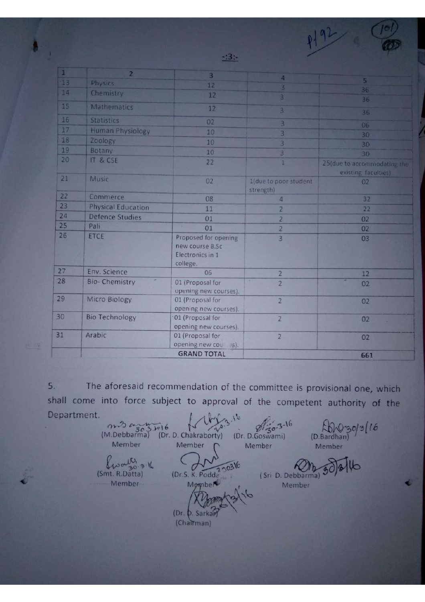| $\vert 1 \vert$ | $\overline{2}$            | $\vert$ 3                                                               |                                    |                                                     |
|-----------------|---------------------------|-------------------------------------------------------------------------|------------------------------------|-----------------------------------------------------|
| 13              | Physics                   | 12                                                                      | $\vert$                            | 5                                                   |
| 14              | Chemistry                 | 12                                                                      | в                                  | 36                                                  |
|                 |                           |                                                                         | 3                                  | 36                                                  |
| 15              | <b>Mathematics</b>        | 12                                                                      | 3                                  | 36                                                  |
| 16              | <b>Statistics</b>         | 02                                                                      | 3                                  | 06                                                  |
| 17              | Human Physiology          | 10                                                                      | 3                                  | 30                                                  |
| 18              | Zoology                   | 10                                                                      | 3                                  | 30                                                  |
| 19              | Botany                    | 10                                                                      | 3.                                 | 30 <sub>1</sub>                                     |
| 20              | IT & CSE                  | 22                                                                      | $\mathbf{1}$                       | 25 (due to accommodating the<br>existing faculties) |
| 21              | Music                     | 02                                                                      | 1(due to poor student<br>strength) | 02                                                  |
| 22              | Commerce                  | 08                                                                      | $\sqrt{4}$                         | 32                                                  |
| 23              | <b>Physical Education</b> | 11                                                                      | $\overline{2}$                     | 22                                                  |
| 24              | <b>Defence Studies</b>    | 01                                                                      | $\overline{2}$                     | 02                                                  |
| 25              | Pali                      | 01                                                                      | $\overline{2}$                     | 02                                                  |
| 26              | ETCE                      | Proposed for opening<br>new course B.Sc<br>Electronics in 1<br>college. | 3                                  | 03                                                  |
| 27              | Env. Science              | 06                                                                      | $\overline{2}$                     | 12                                                  |
| 28              | ×<br><b>Bio-Chemistry</b> | 01 (Proposal for<br>opening new courses).                               | ×<br>$\overline{2}$                | Ξ<br>02                                             |
| 29              | Micro Biology             | 01 (Proposal for<br>opening new courses).                               | $\overline{2}$                     | 0 <sub>2</sub>                                      |
| 30              | <b>Bio Technology</b>     | 01 (Proposal for<br>opening new courses).                               | $\overline{2}$                     | 02                                                  |
| 31              | Arabic                    | 01 (Proposal for<br>opening new cou s).                                 | $\overline{2}$                     | 02                                                  |
|                 |                           | <b>GRAND TOTAL</b>                                                      |                                    | 661                                                 |

 $-2.3$ 

 $192$ 

The aforesaid recommendation of the committee is provisional one, which 5. shall come into force subject to approval of the competent authority of the Department.

 $\begin{array}{ccc} & \text{and} & \text{if} & \text{if} & \text{if} & \text{if} & \text{if} & \text{if} & \text{if} & \text{if} & \text{if} & \text{if} & \text{if} & \text{if} & \text{if} & \text{if} & \text{if} & \text{if} & \text{if} & \text{if} & \text{if} & \text{if} & \text{if} & \text{if} & \text{if} & \text{if} & \text{if} & \text{if} & \text{if} & \text{if} & \text{if} & \text{if} & \text{if} & \text{if} & \text{if} & \text{if} & \text$  $W^{30/3}$ Member Member Member Member frants 316  $16$ (Dr.S. K. Podda 20316 (Smt. R.Datta) (Sri D. Debbarma) Momber - Member Member (Dr. b. Sarkar) (Chairman)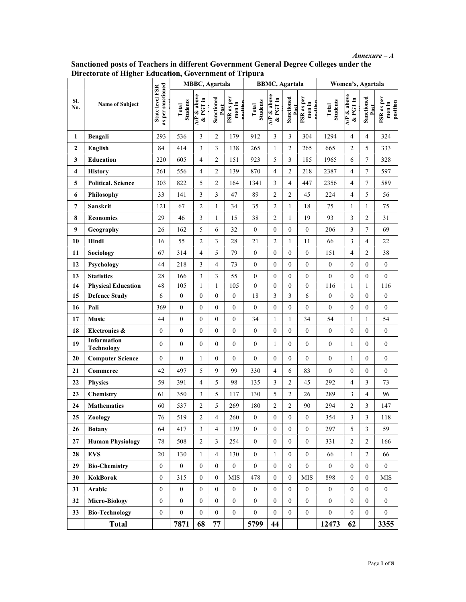Annexure – A

|                         | Directorate of Higher Education, Government of Tripura |                                      |                          |                        |                    |                                  |                          |                          |                    |                                  |                          |                                        |                    |                                  |
|-------------------------|--------------------------------------------------------|--------------------------------------|--------------------------|------------------------|--------------------|----------------------------------|--------------------------|--------------------------|--------------------|----------------------------------|--------------------------|----------------------------------------|--------------------|----------------------------------|
|                         |                                                        |                                      |                          | <b>MBBC</b> , Agartala |                    |                                  |                          | <b>BBMC</b> , Agartala   |                    |                                  |                          | Women's, Agartala                      |                    |                                  |
| SI.<br>No.              | Name of Subject<br>Bengali                             | State level FSR<br>as per sanctioned | <b>Students</b><br>Total | AP & above<br>& PGT in | Sanctioned<br>Post | FSR as per<br>men in<br>nasitian | <b>Students</b><br>Total | $AP$ & above<br>& PGT in | Sanctioned<br>Post | FSR as per<br>men in<br>macitiar | <b>Students</b><br>Total | $\overline{AP}$ & above<br>$\&$ PGT in | Sanctioned<br>Post | FSR as per<br>position<br>men in |
| 1                       |                                                        | 293                                  | 536                      | 3                      | $\overline{c}$     | 179                              | 912                      | $\overline{3}$           | 3                  | 304                              | 1294                     | $\overline{4}$                         | $\overline{4}$     | 324                              |
| $\overline{2}$          | English                                                | 84                                   | 414                      | 3                      | $\mathfrak{Z}$     | 138                              | 265                      | $\mathbf{1}$             | $\overline{c}$     | 265                              | 665                      | $\mathfrak{2}$                         | 5                  | 333                              |
| 3                       | <b>Education</b>                                       | 220                                  | 605                      | $\overline{4}$         | $\overline{c}$     | 151                              | 923                      | 5                        | 3                  | 185                              | 1965                     | 6                                      | $\tau$             | 328                              |
| $\overline{\mathbf{4}}$ | <b>History</b>                                         | 261                                  | 556                      | $\overline{4}$         | $\overline{2}$     | 139                              | 870                      | 4                        | $\sqrt{2}$         | 218                              | 2387                     | 4                                      | $\tau$             | 597                              |
| 5                       | <b>Political. Science</b>                              | 303                                  | 822                      | 5                      | $\overline{c}$     | 164                              | 1341                     | 3                        | $\overline{4}$     | 447                              | 2356                     | 4                                      | $\tau$             | 589                              |
| 6                       | Philosophy                                             | 33                                   | 141                      | $\mathfrak{Z}$         | 3                  | 47                               | 89                       | $\mathfrak{2}$           | $\boldsymbol{2}$   | 45                               | 224                      | $\overline{4}$                         | 5                  | 56                               |
| 7                       | Sanskrit                                               | 121                                  | 67                       | 2                      | $\mathbf{1}$       | 34                               | 35                       | $\overline{c}$           | $\mathbf{1}$       | 18                               | 75                       | 1                                      | $\mathbf{1}$       | 75                               |
| 8                       | <b>Economics</b>                                       | 29                                   | 46                       | 3                      | $\mathbf{1}$       | 15                               | 38                       | $\overline{2}$           | 1                  | 19                               | 93                       | 3                                      | $\overline{2}$     | 31                               |
| 9                       | Geography                                              | 26                                   | 162                      | 5                      | 6                  | 32                               | $\boldsymbol{0}$         | $\overline{0}$           | $\boldsymbol{0}$   | $\boldsymbol{0}$                 | 206                      | 3                                      | $\tau$             | 69                               |
| 10                      | Hindi                                                  | 16                                   | 55                       | $\overline{2}$         | $\mathfrak{Z}$     | 28                               | 21                       | $\overline{c}$           | 1                  | 11                               | 66                       | 3                                      | $\overline{4}$     | 22                               |
| 11                      | Sociology                                              | 67                                   | 314                      | $\overline{4}$         | 5                  | 79                               | $\boldsymbol{0}$         | $\overline{0}$           | $\boldsymbol{0}$   | $\boldsymbol{0}$                 | 151                      | $\overline{\mathbf{4}}$                | $\overline{c}$     | 38                               |
| 12                      | Psychology                                             | 44                                   | 218                      | $\mathfrak{Z}$         | $\overline{4}$     | 73                               | $\boldsymbol{0}$         | $\overline{0}$           | $\boldsymbol{0}$   | $\mathbf{0}$                     | $\mathbf{0}$             | $\mathbf{0}$                           | $\overline{0}$     | $\boldsymbol{0}$                 |
| 13                      | <b>Statistics</b>                                      | 28                                   | 166                      | $\mathfrak{Z}$         | 3                  | 55                               | $\boldsymbol{0}$         | $\overline{0}$           | $\boldsymbol{0}$   | $\boldsymbol{0}$                 | $\mathbf{0}$             | $\boldsymbol{0}$                       | $\overline{0}$     | $\boldsymbol{0}$                 |
| 14                      | <b>Physical Education</b>                              | 48                                   | 105                      | -1                     |                    | 105                              | $\boldsymbol{0}$         | $\theta$                 | $\boldsymbol{0}$   | $\mathbf{0}$                     | 116                      | -1                                     | $\mathbf{1}$       | 116                              |
| 15                      | <b>Defence Study</b>                                   | 6                                    | $\mathbf{0}$             | $\boldsymbol{0}$       | $\boldsymbol{0}$   | $\boldsymbol{0}$                 | 18                       | 3                        | $\mathfrak{Z}$     | 6                                | $\boldsymbol{0}$         | $\boldsymbol{0}$                       | $\boldsymbol{0}$   | $\boldsymbol{0}$                 |
| 16                      | Pali                                                   | 369                                  | $\boldsymbol{0}$         | $\mathbf{0}$           | $\boldsymbol{0}$   | $\overline{0}$                   | $\boldsymbol{0}$         | $\overline{0}$           | $\boldsymbol{0}$   | $\boldsymbol{0}$                 | $\boldsymbol{0}$         | $\boldsymbol{0}$                       | $\boldsymbol{0}$   | $\boldsymbol{0}$                 |
| 17                      | Music                                                  | 44                                   | $\boldsymbol{0}$         | $\mathbf{0}$           | $\boldsymbol{0}$   | $\overline{0}$                   | 34                       | $\mathbf{1}$             | 1                  | 34                               | 54                       | 1                                      | $\mathbf{1}$       | 54                               |
| 18                      | Electronics &                                          | $\mathbf{0}$                         | $\boldsymbol{0}$         | $\boldsymbol{0}$       | $\boldsymbol{0}$   | $\overline{0}$                   | $\boldsymbol{0}$         | $\boldsymbol{0}$         | $\boldsymbol{0}$   | $\boldsymbol{0}$                 | $\mathbf{0}$             | $\boldsymbol{0}$                       | $\overline{0}$     | $\mathbf{0}$                     |
| 19                      | Information<br><b>Technology</b>                       | $\mathbf{0}$                         | $\overline{0}$           | $\mathbf{0}$           | $\overline{0}$     | $\Omega$                         | $\boldsymbol{0}$         | 1                        | $\mathbf{0}$       | $\mathbf{0}$                     | $\mathbf{0}$             | $\mathbf{1}$                           | $\overline{0}$     | $\boldsymbol{0}$                 |
| 20                      | <b>Computer Science</b>                                | $\mathbf{0}$                         | $\overline{0}$           | 1                      | $\overline{0}$     | $\boldsymbol{0}$                 | $\mathbf{0}$             | $\overline{0}$           | $\boldsymbol{0}$   | $\boldsymbol{0}$                 | $\boldsymbol{0}$         | 1                                      | $\mathbf{0}$       | $\boldsymbol{0}$                 |
| 21                      | Commerce                                               | 42                                   | 497                      | 5                      | 9                  | 99                               | 330                      | $\overline{4}$           | 6                  | 83                               | $\overline{0}$           | $\mathbf{0}$                           | $\mathbf{0}$       | $\overline{0}$                   |
| 22                      | <b>Physics</b>                                         | 59                                   | 391                      | $\overline{4}$         | $\sqrt{5}$         | 98                               | 135                      | 3                        | $\overline{c}$     | 45                               | 292                      | $\overline{4}$                         | $\mathfrak{Z}$     | 73                               |
| 23                      | Chemistry                                              | 61                                   | 350                      | 3                      | 5                  | 117                              | 130                      | 5                        | $\overline{c}$     | 26                               | 289                      | 3                                      | $\overline{4}$     | 96                               |
| 24                      | <b>Mathematics</b>                                     | 60                                   | 537                      | $\mathfrak{2}$         | 5                  | 269                              | 180                      | $\mathfrak{2}$           | $\boldsymbol{2}$   | 90                               | 294                      | $\overline{c}$                         | $\overline{3}$     | 147                              |
| 25                      | Zoology                                                | 76                                   | 519                      | $\overline{c}$         | $\overline{4}$     | 260                              | $\boldsymbol{0}$         | $\boldsymbol{0}$         | $\boldsymbol{0}$   | $\boldsymbol{0}$                 | 354                      | 3                                      | 3                  | 118                              |
| 26                      | <b>Botany</b>                                          | 64                                   | 417                      | $\mathfrak{Z}$         | $\overline{4}$     | 139                              | $\overline{0}$           | $\mathbf{0}$             | $\boldsymbol{0}$   | $\boldsymbol{0}$                 | 297                      | 5                                      | $\mathfrak{Z}$     | 59                               |
| 27                      | <b>Human Physiology</b>                                | 78                                   | 508                      | 2                      | $\mathbf{3}$       | 254                              | $\overline{0}$           | $\mathbf{0}$             | $\boldsymbol{0}$   | $\boldsymbol{0}$                 | 331                      | $\boldsymbol{2}$                       | $\overline{c}$     | 166                              |
| 28                      | <b>EVS</b>                                             | 20                                   | 130                      | 1                      | $\overline{4}$     | 130                              | $\overline{0}$           | 1                        | $\boldsymbol{0}$   | $\boldsymbol{0}$                 | 66                       | 1                                      | $\overline{2}$     | 66                               |
| 29                      | <b>Bio-Chemistry</b>                                   | $\overline{0}$                       | $\mathbf{0}$             | $\mathbf{0}$           | $\overline{0}$     | $\overline{0}$                   | $\boldsymbol{0}$         | $\overline{0}$           | $\boldsymbol{0}$   | $\boldsymbol{0}$                 | $\mathbf{0}$             | $\mathbf{0}$                           | $\overline{0}$     | $\mathbf{0}$                     |
| 30                      | KokBorok                                               | $\mathbf{0}$                         | 315                      | $\mathbf{0}$           | $\mathbf{0}$       | ${\rm MIS}$                      | 478                      | $\mathbf{0}$             | $\boldsymbol{0}$   | <b>MIS</b>                       | 898                      | $\mathbf{0}$                           | $\mathbf{0}$       | <b>MIS</b>                       |
| 31                      | Arabic                                                 | $\mathbf{0}$                         | $\boldsymbol{0}$         | $\mathbf{0}$           | $\boldsymbol{0}$   | $\overline{0}$                   | $\boldsymbol{0}$         | $\mathbf{0}$             | $\boldsymbol{0}$   | $\boldsymbol{0}$                 | $\mathbf{0}$             | $\mathbf{0}$                           | $\overline{0}$     | $\mathbf{0}$                     |
| 32                      | <b>Micro-Biology</b>                                   | $\mathbf{0}$                         | $\mathbf{0}$             | $\boldsymbol{0}$       | $\boldsymbol{0}$   | $\overline{0}$                   | $\boldsymbol{0}$         | $\mathbf{0}$             | $\boldsymbol{0}$   | $\boldsymbol{0}$                 | $\overline{0}$           | $\boldsymbol{0}$                       | $\overline{0}$     | $\overline{0}$                   |
| 33                      | <b>Bio-Technology</b>                                  | $\boldsymbol{0}$                     | $\boldsymbol{0}$         | $\mathbf{0}$           | $\overline{0}$     | $\overline{0}$                   | $\boldsymbol{0}$         | $\mathbf{0}$             | $\boldsymbol{0}$   | $\boldsymbol{0}$                 | $\boldsymbol{0}$         | $\boldsymbol{0}$                       | $\overline{0}$     | $\overline{0}$                   |
|                         | <b>Total</b>                                           |                                      | 7871                     | 68                     | $77\,$             |                                  | 5799                     | 44                       |                    |                                  | 12473                    | 62                                     |                    | 3355                             |

Sanctioned posts of Teachers in different Government General Degree Colleges under the Directorate of Higher Education, Government of Tripura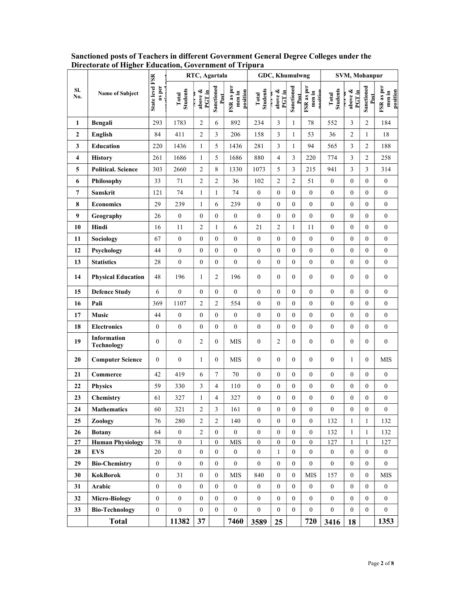|                         |                                  |                                  | RTC, Agartala            |                          | GDC, Khumulwng     |                                  |                          |                                   | SVM, Mohanpur      |                                  |                          |                        |                    |                                  |
|-------------------------|----------------------------------|----------------------------------|--------------------------|--------------------------|--------------------|----------------------------------|--------------------------|-----------------------------------|--------------------|----------------------------------|--------------------------|------------------------|--------------------|----------------------------------|
| SI.<br>No.              | Name of Subject                  | <b>State level FSR</b><br>as per | <b>Students</b><br>Total | above &<br><b>PGT</b> in | Sanctioned<br>Post | FSR as per<br>position<br>men in | <b>Students</b><br>Total | above &<br>PGTin<br>$\frac{1}{2}$ | Sanctioned<br>Post | FSR as per<br>men in<br>masitian | <b>Students</b><br>Total | above &<br>PGT in<br>ŧ | Sanctioned<br>Post | FSR as per<br>position<br>men in |
| 1                       | Bengali                          | 293                              | 1783                     | $\overline{2}$           | 6                  | 892                              | 234                      | 3                                 | $\mathbf{1}$       | 78                               | 552                      | 3                      | $\sqrt{2}$         | 184                              |
| $\mathbf{2}$            | English                          | 84                               | 411                      | $\overline{2}$           | $\mathfrak{Z}$     | 206                              | 158                      | 3                                 | $\mathbf{1}$       | 53                               | 36                       | $\overline{2}$         | $\mathbf{1}$       | 18                               |
| $\mathbf{3}$            | Education                        | 220                              | 1436                     | 1                        | 5                  | 1436                             | 281                      | 3                                 | $\mathbf{1}$       | 94                               | 565                      | $\overline{3}$         | $\overline{c}$     | 188                              |
| $\overline{\mathbf{4}}$ | <b>History</b>                   | 261                              | 1686                     | $\mathbf{1}$             | 5                  | 1686                             | 880                      | 4                                 | $\mathfrak{Z}$     | 220                              | 774                      | $\mathfrak{Z}$         | $\overline{c}$     | 258                              |
| 5                       | <b>Political. Science</b>        | 303                              | 2660                     | $\sqrt{2}$               | $8\,$              | 1330                             | 1073                     | 5                                 | $\mathfrak{Z}$     | 215                              | 941                      | 3                      | $\mathfrak{Z}$     | 314                              |
| 6                       | Philosophy                       | 33                               | 71                       | $\overline{2}$           | $\overline{c}$     | 36                               | 102                      | $\overline{c}$                    | $\overline{c}$     | 51                               | $\boldsymbol{0}$         | $\boldsymbol{0}$       | $\boldsymbol{0}$   | $\boldsymbol{0}$                 |
| $\overline{7}$          | Sanskrit                         | 121                              | 74                       | 1                        | 1                  | 74                               | $\boldsymbol{0}$         | $\boldsymbol{0}$                  | $\boldsymbol{0}$   | $\boldsymbol{0}$                 | $\boldsymbol{0}$         | $\boldsymbol{0}$       | $\boldsymbol{0}$   | $\boldsymbol{0}$                 |
| 8                       | <b>Economics</b>                 | 29                               | 239                      | $\mathbf{1}$             | 6                  | 239                              | $\boldsymbol{0}$         | $\mathbf{0}$                      | $\mathbf{0}$       | $\boldsymbol{0}$                 | $\boldsymbol{0}$         | $\mathbf{0}$           | $\boldsymbol{0}$   | $\boldsymbol{0}$                 |
| 9                       | Geography                        | 26                               | $\boldsymbol{0}$         | $\mathbf{0}$             | $\boldsymbol{0}$   | $\boldsymbol{0}$                 | $\boldsymbol{0}$         | $\mathbf{0}$                      | $\boldsymbol{0}$   | $\boldsymbol{0}$                 | $\boldsymbol{0}$         | $\mathbf{0}$           | $\boldsymbol{0}$   | $\boldsymbol{0}$                 |
| 10                      | Hindi                            | 16                               | 11                       | $\overline{2}$           | 1                  | 6                                | 21                       | $\overline{c}$                    | $\mathbf{1}$       | 11                               | $\boldsymbol{0}$         | $\mathbf{0}$           | $\boldsymbol{0}$   | $\overline{0}$                   |
| 11                      | Sociology                        | 67                               | $\boldsymbol{0}$         | $\mathbf{0}$             | $\overline{0}$     | $\overline{0}$                   | $\boldsymbol{0}$         | $\overline{0}$                    | $\bf{0}$           | $\boldsymbol{0}$                 | $\boldsymbol{0}$         | $\mathbf{0}$           | $\boldsymbol{0}$   | $\boldsymbol{0}$                 |
| 12                      | Psychology                       | 44                               | $\boldsymbol{0}$         | $\mathbf{0}$             | $\boldsymbol{0}$   | $\boldsymbol{0}$                 | $\boldsymbol{0}$         | $\mathbf{0}$                      | $\mathbf{0}$       | $\boldsymbol{0}$                 | $\boldsymbol{0}$         | $\mathbf{0}$           | $\boldsymbol{0}$   | $\boldsymbol{0}$                 |
| 13                      | <b>Statistics</b>                | 28                               | $\boldsymbol{0}$         | $\mathbf{0}$             | $\boldsymbol{0}$   | $\boldsymbol{0}$                 | $\boldsymbol{0}$         | $\mathbf{0}$                      | $\boldsymbol{0}$   | $\boldsymbol{0}$                 | $\boldsymbol{0}$         | $\mathbf{0}$           | $\boldsymbol{0}$   | $\boldsymbol{0}$                 |
| 14                      | <b>Physical Education</b>        | 48                               | 196                      | -1                       | 2                  | 196                              | $\mathbf{0}$             | $\mathbf{0}$                      | $\mathbf{0}$       | $\boldsymbol{0}$                 | $\boldsymbol{0}$         | $\mathbf{0}$           | $\boldsymbol{0}$   | $\boldsymbol{0}$                 |
| 15                      | <b>Defence Study</b>             | 6                                | $\overline{0}$           | $\mathbf{0}$             | $\boldsymbol{0}$   | $\boldsymbol{0}$                 | $\boldsymbol{0}$         | $\boldsymbol{0}$                  | $\boldsymbol{0}$   | $\boldsymbol{0}$                 | $\mathbf{0}$             | $\boldsymbol{0}$       | $\boldsymbol{0}$   | $\boldsymbol{0}$                 |
| 16                      | Pali                             | 369                              | 1107                     | $\sqrt{2}$               | $\overline{c}$     | 554                              | $\boldsymbol{0}$         | $\boldsymbol{0}$                  | $\boldsymbol{0}$   | $\mathbf{0}$                     | $\boldsymbol{0}$         | $\boldsymbol{0}$       | $\boldsymbol{0}$   | $\boldsymbol{0}$                 |
| 17                      | Music                            | 44                               | $\boldsymbol{0}$         | $\boldsymbol{0}$         | $\boldsymbol{0}$   | $\boldsymbol{0}$                 | $\boldsymbol{0}$         | $\boldsymbol{0}$                  | $\boldsymbol{0}$   | $\boldsymbol{0}$                 | $\boldsymbol{0}$         | $\boldsymbol{0}$       | $\boldsymbol{0}$   | $\boldsymbol{0}$                 |
| 18                      | <b>Electronics</b>               | $\boldsymbol{0}$                 | $\boldsymbol{0}$         | $\boldsymbol{0}$         | $\boldsymbol{0}$   | $\boldsymbol{0}$                 | $\boldsymbol{0}$         | $\boldsymbol{0}$                  | $\boldsymbol{0}$   | $\boldsymbol{0}$                 | $\boldsymbol{0}$         | $\boldsymbol{0}$       | $\boldsymbol{0}$   | $\boldsymbol{0}$                 |
| 19                      | Information<br><b>Technology</b> | $\mathbf{0}$                     | $\boldsymbol{0}$         | $\overline{2}$           | $\mathbf{0}$       | <b>MIS</b>                       | $\boldsymbol{0}$         | $\overline{c}$                    | $\mathbf{0}$       | $\overline{0}$                   | $\overline{0}$           | $\theta$               | $\mathbf{0}$       | $\boldsymbol{0}$                 |
| 20                      | <b>Computer Science</b>          | $\mathbf{0}$                     | $\mathbf{0}$             | 1                        | $\overline{0}$     | <b>MIS</b>                       | $\boldsymbol{0}$         | $\overline{0}$                    | $\mathbf{0}$       | $\overline{0}$                   | $\mathbf{0}$             | 1                      | $\overline{0}$     | MIS                              |
| 21                      | Commerce                         | 42                               | 419                      | 6                        | $\boldsymbol{7}$   | 70                               | $\boldsymbol{0}$         | $\boldsymbol{0}$                  | $\boldsymbol{0}$   | $\boldsymbol{0}$                 | $\boldsymbol{0}$         | $\boldsymbol{0}$       | $\boldsymbol{0}$   | $\overline{0}$                   |
| 22                      | <b>Physics</b>                   | 59                               | 330                      | $\overline{3}$           | $\overline{4}$     | 110                              | $\boldsymbol{0}$         | $\boldsymbol{0}$                  | $\boldsymbol{0}$   | $\boldsymbol{0}$                 | $\boldsymbol{0}$         | $\mathbf{0}$           | $\boldsymbol{0}$   | $\boldsymbol{0}$                 |
| 23                      | Chemistry                        | 61                               | 327                      | 1                        | 4                  | 327                              | $\boldsymbol{0}$         | $\boldsymbol{0}$                  | $\boldsymbol{0}$   | $\boldsymbol{0}$                 | $\boldsymbol{0}$         | $\boldsymbol{0}$       | $\boldsymbol{0}$   | $\boldsymbol{0}$                 |
| 24                      | <b>Mathematics</b>               | 60                               | 321                      | $\sqrt{2}$               | $\mathfrak{Z}$     | 161                              | $\boldsymbol{0}$         | $\boldsymbol{0}$                  | $\boldsymbol{0}$   | $\boldsymbol{0}$                 | $\boldsymbol{0}$         | $\boldsymbol{0}$       | $\Omega$<br>v      | $\boldsymbol{0}$                 |
| 25                      | Zoology                          | 76                               | 280                      | $\overline{2}$           | $\overline{c}$     | 140                              | $\overline{0}$           | $\overline{0}$                    | $\mathbf{0}$       | $\mathbf{0}$                     | 132                      | -1                     | 1                  | 132                              |
| 26                      | <b>Botany</b>                    | 64                               | $\boldsymbol{0}$         | $\overline{2}$           | $\mathbf{0}$       | $\overline{0}$                   | $\boldsymbol{0}$         | $\mathbf{0}$                      | $\boldsymbol{0}$   | $\boldsymbol{0}$                 | 132                      | $\mathbf{1}$           | $\mathbf{1}$       | 132                              |
| 27                      | <b>Human Physiology</b>          | $78\,$                           | $\overline{0}$           | $\overline{1}$           | $\mathbf{0}$       | <b>MIS</b>                       | $\boldsymbol{0}$         | $\boldsymbol{0}$                  | $\boldsymbol{0}$   | $\mathbf{0}$                     | 127                      | -1                     | $\mathbf{1}$       | 127                              |
| 28                      | <b>EVS</b>                       | $20\,$                           | $\boldsymbol{0}$         | $\boldsymbol{0}$         | $\boldsymbol{0}$   | $\overline{0}$                   | $\boldsymbol{0}$         | $\mathbf{1}$                      | $\boldsymbol{0}$   | $\boldsymbol{0}$                 | $\boldsymbol{0}$         | $\mathbf{0}$           | $\boldsymbol{0}$   | $\boldsymbol{0}$                 |
| 29                      | <b>Bio-Chemistry</b>             | $\boldsymbol{0}$                 | $\boldsymbol{0}$         | $\boldsymbol{0}$         | $\boldsymbol{0}$   | $\boldsymbol{0}$                 | $\boldsymbol{0}$         | $\boldsymbol{0}$                  | $\boldsymbol{0}$   | $\boldsymbol{0}$                 | $\boldsymbol{0}$         | $\mathbf{0}$           | $\boldsymbol{0}$   | $\overline{0}$                   |
| 30                      | KokBorok                         | $\boldsymbol{0}$                 | 31                       | $\boldsymbol{0}$         | $\boldsymbol{0}$   | <b>MIS</b>                       | 840                      | $\mathbf{0}$                      | $\mathbf{0}$       | <b>MIS</b>                       | 157                      | $\mathbf{0}$           | $\overline{0}$     | $\rm{MIS}$                       |
| 31                      | Arabic                           | $\mathbf{0}$                     | $\overline{0}$           | $\bf{0}$                 | $\overline{0}$     | $\overline{0}$                   | $\mathbf{0}$             | $\mathbf{0}$                      | $\overline{0}$     | $\overline{0}$                   | $\boldsymbol{0}$         | $\mathbf{0}$           | $\overline{0}$     | $\overline{0}$                   |
| 32                      | <b>Micro-Biology</b>             | $\mathbf{0}$                     | $\overline{0}$           | $\bf{0}$                 | $\boldsymbol{0}$   | $\mathbf{0}$                     | $\boldsymbol{0}$         | $\boldsymbol{0}$                  | $\mathbf{0}$       | $\mathbf{0}$                     | $\boldsymbol{0}$         | $\overline{0}$         | $\overline{0}$     | $\boldsymbol{0}$                 |
| 33                      | <b>Bio-Technology</b>            | $\boldsymbol{0}$                 | $\overline{0}$           | $\boldsymbol{0}$         | $\boldsymbol{0}$   | $\overline{0}$                   | $\boldsymbol{0}$         | $\boldsymbol{0}$                  | $\mathbf{0}$       | $\mathbf{0}$                     | $\boldsymbol{0}$         | $\boldsymbol{0}$       | $\overline{0}$     | $\overline{0}$                   |
|                         | <b>Total</b>                     |                                  | 11382                    | 37                       |                    | 7460                             | 3589                     | 25                                |                    | 720                              | 3416                     | 18                     |                    | 1353                             |

## Sanctioned posts of Teachers in different Government General Degree Colleges under the Directorate of Higher Education, Government of Tripura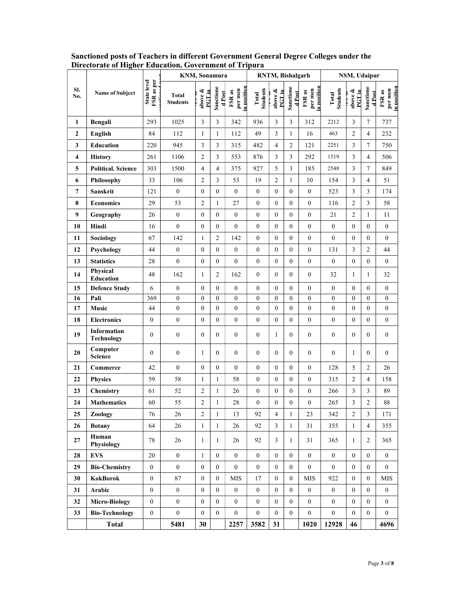|                         |                                  |                           | KNM, Sonamura                   |                   | RNTM, Bishalgarh    |                                 |                          | NSM, Udaipur     |                    |                                 |                          |                              |                    |                                  |
|-------------------------|----------------------------------|---------------------------|---------------------------------|-------------------|---------------------|---------------------------------|--------------------------|------------------|--------------------|---------------------------------|--------------------------|------------------------------|--------------------|----------------------------------|
| SI.<br>No.              | Name of Subject                  | State level<br>FSR as per | <b>Total</b><br><b>Students</b> | above &<br>PGT in | Sanctione<br>d Post | n position<br>per men<br>FSR as | <b>Students</b><br>Total | above &<br>PGTin | Sanctione<br>dPost | n position<br>per men<br>FSR as | <b>Students</b><br>Total | above &<br>PCTin<br>י<br>הוא | Sanctione<br>dPost | in position<br>per men<br>FSR as |
| 1                       | Bengali                          | 293                       | 1025                            | $\mathfrak{Z}$    | 3                   | 342                             | 936                      | $\mathfrak{Z}$   | $\mathfrak{Z}$     | 312                             | 2212                     | 3                            | $\tau$             | 737                              |
| $\boldsymbol{2}$        | English                          | 84                        | 112                             | 1                 | $\mathbf{1}$        | 112                             | 49                       | $\mathfrak{Z}$   | 1                  | 16                              | 463                      | $\overline{c}$               | $\overline{4}$     | 232                              |
| 3                       | Education                        | 220                       | 945                             | 3                 | 3                   | 315                             | 482                      | $\overline{4}$   | $\overline{c}$     | 121                             | 2251                     | $\mathfrak{Z}$               | $\tau$             | 750                              |
| $\overline{\mathbf{4}}$ | <b>History</b>                   | 261                       | 1106                            | 2                 | 3                   | 553                             | 876                      | 3                | 3                  | 292                             | 1519                     | 3                            | $\overline{4}$     | 506                              |
| 5                       | <b>Political. Science</b>        | 303                       | 1500                            | $\overline{4}$    | $\overline{4}$      | 375                             | 927                      | 5                | $\mathfrak{Z}$     | 185                             | 2548                     | $\mathfrak{Z}$               | $\tau$             | 849                              |
| 6                       | Philosophy                       | 33                        | 106                             | $\overline{2}$    | $\mathfrak{Z}$      | 53                              | 19                       | $\boldsymbol{2}$ | 1                  | 10                              | 154                      | $\overline{3}$               | $\overline{4}$     | 51                               |
| 7                       | Sanskrit                         | 121                       | $\boldsymbol{0}$                | $\boldsymbol{0}$  | $\boldsymbol{0}$    | $\boldsymbol{0}$                | $\mathbf{0}$             | $\boldsymbol{0}$ | $\mathbf{0}$       | $\boldsymbol{0}$                | 523                      | $\mathfrak{Z}$               | $\mathfrak{Z}$     | 174                              |
| 8                       | <b>Economics</b>                 | 29                        | 53                              | $\overline{2}$    | 1                   | $27\,$                          | $\boldsymbol{0}$         | $\mathbf{0}$     | $\boldsymbol{0}$   | $\mathbf{0}$                    | 116                      | $\overline{c}$               | $\mathfrak{Z}$     | 58                               |
| 9                       | Geography                        | 26                        | $\mathbf{0}$                    | $\mathbf{0}$      | $\boldsymbol{0}$    | $\overline{0}$                  | $\mathbf{0}$             | $\mathbf{0}$     | $\mathbf{0}$       | $\mathbf{0}$                    | 21                       | $\boldsymbol{2}$             | $\mathbf{1}$       | 11                               |
| 10                      | Hindi                            | 16                        | $\mathbf{0}$                    | $\boldsymbol{0}$  | $\boldsymbol{0}$    | $\boldsymbol{0}$                | $\boldsymbol{0}$         | $\boldsymbol{0}$ | $\boldsymbol{0}$   | $\boldsymbol{0}$                | $\boldsymbol{0}$         | $\mathbf{0}$                 | $\boldsymbol{0}$   | $\overline{0}$                   |
| 11                      | Sociology                        | 67                        | 142                             | -1                | $\sqrt{2}$          | 142                             | $\boldsymbol{0}$         | $\boldsymbol{0}$ | $\boldsymbol{0}$   | $\boldsymbol{0}$                | $\boldsymbol{0}$         | $\mathbf{0}$                 | $\boldsymbol{0}$   | $\boldsymbol{0}$                 |
| 12                      | Psychology                       | 44                        | $\boldsymbol{0}$                | $\boldsymbol{0}$  | $\boldsymbol{0}$    | $\boldsymbol{0}$                | $\boldsymbol{0}$         | $\boldsymbol{0}$ | $\mathbf{0}$       | $\boldsymbol{0}$                | 131                      | $\mathfrak{Z}$               | $\overline{c}$     | 44                               |
| 13                      | <b>Statistics</b>                | 28                        | $\overline{0}$                  | $\boldsymbol{0}$  | $\boldsymbol{0}$    | $\boldsymbol{0}$                | $\boldsymbol{0}$         | $\boldsymbol{0}$ | $\mathbf{0}$       | $\boldsymbol{0}$                | $\boldsymbol{0}$         | $\boldsymbol{0}$             | $\boldsymbol{0}$   | $\overline{0}$                   |
| 14                      | Physical<br>Education            | 48                        | 162                             |                   | $\overline{c}$      | 162                             | $\mathbf{0}$             | $\mathbf{0}$     | $\overline{0}$     | $\mathbf{0}$                    | 32                       | -1                           | $\mathbf{1}$       | 32                               |
| 15                      | <b>Defence Study</b>             | 6                         | $\overline{0}$                  | $\mathbf{0}$      | $\boldsymbol{0}$    | $\overline{0}$                  | $\boldsymbol{0}$         | $\mathbf{0}$     | $\mathbf{0}$       | $\boldsymbol{0}$                | $\boldsymbol{0}$         | $\theta$                     | $\boldsymbol{0}$   | $\overline{0}$                   |
| 16                      | Pali                             | 369                       | $\mathbf{0}$                    | $\boldsymbol{0}$  | $\boldsymbol{0}$    | $\boldsymbol{0}$                | $\boldsymbol{0}$         | $\boldsymbol{0}$ | $\mathbf{0}$       | $\boldsymbol{0}$                | $\boldsymbol{0}$         | $\overline{0}$               | $\boldsymbol{0}$   | $\boldsymbol{0}$                 |
| 17                      | Music                            | 44                        | $\mathbf{0}$                    | $\mathbf{0}$      | $\boldsymbol{0}$    | 0                               | $\boldsymbol{0}$         | $\boldsymbol{0}$ | $\boldsymbol{0}$   | $\boldsymbol{0}$                | $\boldsymbol{0}$         | $\mathbf{0}$                 | $\boldsymbol{0}$   | $\boldsymbol{0}$                 |
| 18                      | <b>Electronics</b>               | $\mathbf{0}$              | $\overline{0}$                  | $\boldsymbol{0}$  | $\boldsymbol{0}$    | $\boldsymbol{0}$                | $\boldsymbol{0}$         | $\boldsymbol{0}$ | $\mathbf{0}$       | $\boldsymbol{0}$                | $\boldsymbol{0}$         | $\mathbf{0}$                 | $\boldsymbol{0}$   | $\overline{0}$                   |
| 19                      | Information<br><b>Technology</b> | $\mathbf{0}$              | $\boldsymbol{0}$                | $\mathbf{0}$      | $\boldsymbol{0}$    | $\boldsymbol{0}$                | $\boldsymbol{0}$         | 1                | $\mathbf{0}$       | $\boldsymbol{0}$                | $\boldsymbol{0}$         | $\mathbf{0}$                 | $\boldsymbol{0}$   | 0                                |
| 20                      | Computer<br><b>Science</b>       | $\mathbf{0}$              | $\boldsymbol{0}$                | -1                | $\mathbf{0}$        | $\mathbf{0}$                    | $\boldsymbol{0}$         | $\mathbf{0}$     | $\mathbf{0}$       | $\boldsymbol{0}$                | $\boldsymbol{0}$         | -1                           | $\mathbf{0}$       | $\overline{0}$                   |
| 21                      | Commerce                         | 42                        | $\mathbf{0}$                    | $\mathbf{0}$      | $\boldsymbol{0}$    | $\mathbf{0}$                    | $\boldsymbol{0}$         | $\mathbf{0}$     | 0                  | $\mathbf{0}$                    | 128                      | 5                            | $\overline{c}$     | 26                               |
| 22                      | <b>Physics</b>                   | 59                        | 58                              | $\overline{1}$    | $\mathbf{1}$        | 58                              | $\boldsymbol{0}$         | $\boldsymbol{0}$ | $\boldsymbol{0}$   | $\boldsymbol{0}$                | 315                      | $\overline{c}$               | $\overline{4}$     | 158                              |
| 23                      | Chemistry                        | 61                        | 52                              | $\overline{c}$    | 1                   | 26                              | $\boldsymbol{0}$         | $\boldsymbol{0}$ | $\boldsymbol{0}$   | $\boldsymbol{0}$                | 266                      | 3                            | 3                  | 89                               |
| 24                      | <b>Mathematics</b>               | 60                        | 55                              | $\overline{2}$    | $\mathbf{1}$        | 28                              | $\boldsymbol{0}$         | $\boldsymbol{0}$ | $\overline{0}$     | $\boldsymbol{0}$                | 265                      | 3                            | $\sqrt{2}$         | 88                               |
| 25                      | Zoology                          | 76                        | 26                              | 2                 | $\mathbf{1}$        | 13                              | 92                       | $\overline{4}$   | $\mathbf{1}$       | 23                              | 342                      | $\overline{c}$               | 3                  | 171                              |
| 26                      | <b>Botany</b>                    | 64                        | 26                              | $\mathbf{1}$      | $\mathbf{1}$        | 26                              | 92                       | $\mathfrak{Z}$   | 1                  | 31                              | 355                      | 1                            | $\overline{4}$     | 355                              |
| 27                      | Human<br>Physiology              | 78                        | 26                              | 1                 | 1                   | 26                              | 92                       | 3                | 1                  | 31                              | 365                      | -1                           | $\overline{c}$     | 365                              |
| 28                      | <b>EVS</b>                       | 20                        | $\mathbf{0}$                    | 1                 | $\overline{0}$      | $\mathbf{0}$                    | $\mathbf{0}$             | $\mathbf{0}$     | $\overline{0}$     | $\boldsymbol{0}$                | $\boldsymbol{0}$         | $\mathbf{0}$                 | $\mathbf{0}$       | $\overline{0}$                   |
| 29                      | <b>Bio-Chemistry</b>             | $\mathbf{0}$              | $\mathbf{0}$                    | $\boldsymbol{0}$  | $\mathbf{0}$        | $\boldsymbol{0}$                | $\mathbf{0}$             | $\boldsymbol{0}$ | $\mathbf{0}$       | $\mathbf{0}$                    | $\boldsymbol{0}$         | $\mathbf{0}$                 | $\mathbf{0}$       | $\overline{0}$                   |
| 30                      | <b>KokBorok</b>                  | $\mathbf{0}$              | 87                              | $\mathbf{0}$      | $\mathbf{0}$        | ${\rm MIS}$                     | 17                       | $\boldsymbol{0}$ | $\mathbf{0}$       | MIS                             | 922                      | $\mathbf{0}$                 | $\mathbf{0}$       | MIS                              |
| 31                      | Arabic                           | $\mathbf{0}$              | $\mathbf{0}$                    | $\mathbf{0}$      | $\mathbf{0}$        | $\mathbf{0}$                    | $\boldsymbol{0}$         | $\boldsymbol{0}$ | $\mathbf{0}$       | $\boldsymbol{0}$                | $\bf{0}$                 | $\mathbf{0}$                 | $\mathbf{0}$       | $\overline{0}$                   |
| 32                      | <b>Micro-Biology</b>             | $\mathbf{0}$              | $\overline{0}$                  | $\mathbf{0}$      | $\mathbf{0}$        | $\mathbf{0}$                    | $\mathbf{0}$             | $\mathbf{0}$     | $\mathbf{0}$       | $\boldsymbol{0}$                | $\boldsymbol{0}$         | $\mathbf{0}$                 | $\mathbf{0}$       | $\overline{0}$                   |
| 33                      | <b>Bio-Technology</b>            | $\mathbf{0}$              | $\boldsymbol{0}$                | $\boldsymbol{0}$  | $\mathbf{0}$        | $\boldsymbol{0}$                | $\boldsymbol{0}$         | $\bf{0}$         | $\overline{0}$     | $\boldsymbol{0}$                | $\boldsymbol{0}$         | $\mathbf{0}$                 | $\mathbf{0}$       | $\boldsymbol{0}$                 |
|                         | <b>Total</b>                     |                           | 5481                            | 30                |                     | 2257                            | 3582                     | 31               |                    | 1020                            | 12928                    | 46                           |                    | 4696                             |

Sanctioned posts of Teachers in different Government General Degree Colleges under the Directorate of Higher Education, Government of Tripura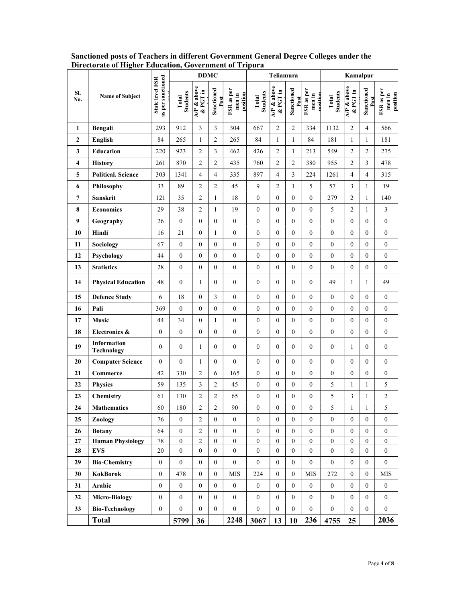|              |                                  |                                      |                   | <b>DDMC</b>            |                    |                                  |                   | Teliamura                           |                    |                                  |                          | Kamalpur                            |                    |                                  |
|--------------|----------------------------------|--------------------------------------|-------------------|------------------------|--------------------|----------------------------------|-------------------|-------------------------------------|--------------------|----------------------------------|--------------------------|-------------------------------------|--------------------|----------------------------------|
| SI.<br>No.   | <b>Name of Subject</b>           | State level FSR<br>as per sanctioned | Students<br>Total | AP & above<br>& PGT in | Sanctioned<br>Post | FSR as per<br>position<br>men in | Students<br>Total | $\overline{AP}$ & above<br>& PGT in | Sanctioned<br>Post | FSR as per<br>men in<br>nosition | <b>Students</b><br>Total | $\overline{AP}$ & above<br>& PGT in | Sanctioned<br>Post | FSR as per<br>position<br>men in |
| 1            | Bengali                          | 293                                  | 912               | 3                      | 3                  | 304                              | 667               | $\overline{c}$                      | $\overline{c}$     | 334                              | 1132                     | $\overline{c}$                      | 4                  | 566                              |
| $\mathbf{2}$ | <b>English</b>                   | 84                                   | 265               | $\mathbf{1}$           | $\overline{c}$     | 265                              | 84                | 1                                   | $\mathbf{1}$       | 84                               | 181                      | $\mathbf{1}$                        | $\mathbf{1}$       | 181                              |
| 3            | <b>Education</b>                 | 220                                  | 923               | $\overline{c}$         | $\mathfrak{Z}$     | 462                              | 426               | $\overline{c}$                      | $\mathbf{1}$       | 213                              | 549                      | 2                                   | $\overline{c}$     | 275                              |
| 4            | <b>History</b>                   | 261                                  | 870               | $\overline{c}$         | $\overline{c}$     | 435                              | 760               | $\overline{2}$                      | $\overline{2}$     | 380                              | 955                      | $\overline{2}$                      | $\mathfrak{Z}$     | 478                              |
| 5            | <b>Political. Science</b>        | 303                                  | 1341              | 4                      | 4                  | 335                              | 897               | 4                                   | $\mathfrak{Z}$     | 224                              | 1261                     | 4                                   | 4                  | 315                              |
| 6            | Philosophy                       | 33                                   | 89                | $\mathfrak{2}$         | $\sqrt{2}$         | 45                               | 9                 | $\overline{2}$                      | $\mathbf{1}$       | 5                                | 57                       | 3                                   | 1                  | 19                               |
| 7            | Sanskrit                         | 121                                  | 35                | $\overline{c}$         | 1                  | 18                               | $\boldsymbol{0}$  | $\mathbf{0}$                        | $\boldsymbol{0}$   | $\boldsymbol{0}$                 | 279                      | $\overline{2}$                      | 1                  | 140                              |
| 8            | <b>Economics</b>                 | 29                                   | 38                | $\overline{c}$         | $\mathbf{1}$       | 19                               | $\boldsymbol{0}$  | $\boldsymbol{0}$                    | $\boldsymbol{0}$   | $\boldsymbol{0}$                 | 5                        | $\overline{2}$                      | $\mathbf{1}$       | 3                                |
| 9            | Geography                        | 26                                   | $\boldsymbol{0}$  | $\boldsymbol{0}$       | $\boldsymbol{0}$   | $\boldsymbol{0}$                 | $\boldsymbol{0}$  | $\boldsymbol{0}$                    | $\boldsymbol{0}$   | $\boldsymbol{0}$                 | $\boldsymbol{0}$         | $\boldsymbol{0}$                    | $\boldsymbol{0}$   | $\boldsymbol{0}$                 |
| 10           | Hindi                            | 16                                   | 21                | $\boldsymbol{0}$       | 1                  | $\boldsymbol{0}$                 | $\boldsymbol{0}$  | $\boldsymbol{0}$                    | $\boldsymbol{0}$   | $\boldsymbol{0}$                 | $\boldsymbol{0}$         | $\boldsymbol{0}$                    | $\boldsymbol{0}$   | $\boldsymbol{0}$                 |
| 11           | <b>Sociology</b>                 | 67                                   | $\boldsymbol{0}$  | $\boldsymbol{0}$       | $\boldsymbol{0}$   | $\boldsymbol{0}$                 | $\boldsymbol{0}$  | $\boldsymbol{0}$                    | $\boldsymbol{0}$   | $\boldsymbol{0}$                 | $\boldsymbol{0}$         | $\boldsymbol{0}$                    | $\boldsymbol{0}$   | $\boldsymbol{0}$                 |
| 12           | Psychology                       | 44                                   | $\boldsymbol{0}$  | $\boldsymbol{0}$       | $\boldsymbol{0}$   | $\boldsymbol{0}$                 | $\boldsymbol{0}$  | $\boldsymbol{0}$                    | $\boldsymbol{0}$   | $\boldsymbol{0}$                 | $\boldsymbol{0}$         | $\boldsymbol{0}$                    | $\boldsymbol{0}$   | $\boldsymbol{0}$                 |
| 13           | <b>Statistics</b>                | 28                                   | $\mathbf{0}$      | $\boldsymbol{0}$       | $\boldsymbol{0}$   | $\boldsymbol{0}$                 | $\boldsymbol{0}$  | $\boldsymbol{0}$                    | $\boldsymbol{0}$   | $\boldsymbol{0}$                 | $\boldsymbol{0}$         | $\boldsymbol{0}$                    | $\boldsymbol{0}$   | $\boldsymbol{0}$                 |
| 14           | <b>Physical Education</b>        | 48                                   | $\boldsymbol{0}$  | 1                      | $\boldsymbol{0}$   | $\boldsymbol{0}$                 | $\boldsymbol{0}$  | $\boldsymbol{0}$                    | $\boldsymbol{0}$   | $\boldsymbol{0}$                 | 49                       | -1                                  | 1                  | 49                               |
| 15           | <b>Defence Study</b>             | 6                                    | 18                | $\boldsymbol{0}$       | 3                  | $\mathbf{0}$                     | $\boldsymbol{0}$  | $\boldsymbol{0}$                    | $\boldsymbol{0}$   | $\boldsymbol{0}$                 | $\boldsymbol{0}$         | $\mathbf{0}$                        | $\boldsymbol{0}$   | $\boldsymbol{0}$                 |
| 16           | Pali                             | 369                                  | $\boldsymbol{0}$  | $\boldsymbol{0}$       | $\boldsymbol{0}$   | $\boldsymbol{0}$                 | $\boldsymbol{0}$  | $\boldsymbol{0}$                    | $\boldsymbol{0}$   | $\boldsymbol{0}$                 | $\boldsymbol{0}$         | $\mathbf{0}$                        | $\boldsymbol{0}$   | $\boldsymbol{0}$                 |
| 17           | Music                            | 44                                   | 34                | $\boldsymbol{0}$       | 1                  | $\boldsymbol{0}$                 | $\boldsymbol{0}$  | $\mathbf{0}$                        | $\boldsymbol{0}$   | $\boldsymbol{0}$                 | $\boldsymbol{0}$         | $\mathbf{0}$                        | $\boldsymbol{0}$   | $\boldsymbol{0}$                 |
| 18           | Electronics &                    | $\boldsymbol{0}$                     | $\mathbf{0}$      | $\boldsymbol{0}$       | $\boldsymbol{0}$   | $\mathbf{0}$                     | $\boldsymbol{0}$  | $\mathbf{0}$                        | $\mathbf{0}$       | $\boldsymbol{0}$                 | $\boldsymbol{0}$         | $\mathbf{0}$                        | $\boldsymbol{0}$   | $\boldsymbol{0}$                 |
| 19           | Information<br><b>Technology</b> | $\mathbf{0}$                         | $\boldsymbol{0}$  | 1                      | $\overline{0}$     | $\overline{0}$                   | $\boldsymbol{0}$  | $\theta$                            | $\boldsymbol{0}$   | $\mathbf{0}$                     | $\boldsymbol{0}$         | -1                                  | $\mathbf{0}$       | $\boldsymbol{0}$                 |
| 20           | <b>Computer Science</b>          | $\boldsymbol{0}$                     | $\boldsymbol{0}$  | 1                      | $\boldsymbol{0}$   | $\overline{0}$                   | $\boldsymbol{0}$  | $\mathbf{0}$                        | $\boldsymbol{0}$   | $\boldsymbol{0}$                 | $\boldsymbol{0}$         | $\mathbf{0}$                        | $\boldsymbol{0}$   | $\boldsymbol{0}$                 |
| 21           | Commerce                         | 42                                   | 330               | $\overline{2}$         | 6                  | 165                              | $\mathbf{0}$      | $\mathbf{0}$                        | $\boldsymbol{0}$   | $\boldsymbol{0}$                 | $\mathbf{0}$             | $\mathbf{0}$                        | $\boldsymbol{0}$   | $\boldsymbol{0}$                 |
| 22           | <b>Physics</b>                   | 59                                   | 135               | 3                      | $\overline{c}$     | 45                               | $\boldsymbol{0}$  | $\mathbf{0}$                        | $\boldsymbol{0}$   | $\boldsymbol{0}$                 | 5                        | -1                                  | 1                  | 5                                |
| 23           | Chemistry                        | 61                                   | 130               | $\sqrt{2}$             | $\overline{c}$     | 65                               | $\boldsymbol{0}$  | $\boldsymbol{0}$                    | $\boldsymbol{0}$   | $\boldsymbol{0}$                 | 5                        | 3                                   | $\mathbf{1}$       | $\boldsymbol{2}$                 |
| 24           | <b>Mathematics</b>               | 60                                   | 180               | $\sqrt{2}$             | $\mathfrak{D}$     | 90                               | $\overline{0}$    | $\theta$                            | $\Omega$           | $\theta$                         | 5                        |                                     | $\overline{1}$     | 5                                |
| 25           | Zoology                          | 76                                   | $\mathbf{0}$      | $\overline{c}$         | $\boldsymbol{0}$   | $\overline{0}$                   | $\boldsymbol{0}$  | $\boldsymbol{0}$                    | $\boldsymbol{0}$   | $\mathbf{0}$                     | $\mathbf{0}$             | $\mathbf{0}$                        | $\boldsymbol{0}$   | $\overline{0}$                   |
| 26           | <b>Botany</b>                    | 64                                   | $\boldsymbol{0}$  | $\sqrt{2}$             | $\boldsymbol{0}$   | $\boldsymbol{0}$                 | $\boldsymbol{0}$  | $\boldsymbol{0}$                    | $\boldsymbol{0}$   | $\boldsymbol{0}$                 | $\boldsymbol{0}$         | $\boldsymbol{0}$                    | $\boldsymbol{0}$   | $\mathbf{0}$                     |
| $\bf 27$     | <b>Human Physiology</b>          | $78\,$                               | $\mathbf{0}$      | $\sqrt{2}$             | $\overline{0}$     | $\overline{0}$                   | $\boldsymbol{0}$  | $\boldsymbol{0}$                    | $\boldsymbol{0}$   | $\boldsymbol{0}$                 | $\mathbf{0}$             | $\mathbf{0}$                        | $\overline{0}$     | $\overline{0}$                   |
| 28           | <b>EVS</b>                       | 20                                   | $\mathbf{0}$      | $\mathbf{0}$           | $\overline{0}$     | $\overline{0}$                   | $\boldsymbol{0}$  | $\boldsymbol{0}$                    | $\boldsymbol{0}$   | $\mathbf{0}$                     | $\mathbf{0}$             | $\boldsymbol{0}$                    | $\mathbf{0}$       | $\overline{0}$                   |
| 29           | <b>Bio-Chemistry</b>             | $\mathbf{0}$                         | $\boldsymbol{0}$  | $\mathbf{0}$           | $\boldsymbol{0}$   | $\mathbf{0}$                     | $\boldsymbol{0}$  | $\boldsymbol{0}$                    | $\boldsymbol{0}$   | $\overline{0}$                   | $\mathbf{0}$             | $\mathbf{0}$                        | $\boldsymbol{0}$   | $\overline{0}$                   |
| 30           | <b>KokBorok</b>                  | $\mathbf{0}$                         | 478               | $\mathbf{0}$           | $\boldsymbol{0}$   | MIS                              | 224               | $\boldsymbol{0}$                    | $\boldsymbol{0}$   | $\rm{MIS}$                       | 272                      | $\boldsymbol{0}$                    | $\mathbf{0}$       | MIS                              |
| 31           | Arabic                           | $\boldsymbol{0}$                     | $\boldsymbol{0}$  | $\mathbf{0}$           | $\boldsymbol{0}$   | $\mathbf{0}$                     | $\boldsymbol{0}$  | $\boldsymbol{0}$                    | $\boldsymbol{0}$   | $\boldsymbol{0}$                 | $\boldsymbol{0}$         | $\boldsymbol{0}$                    | $\boldsymbol{0}$   | $\mathbf{0}$                     |
| 32           | <b>Micro-Biology</b>             | $\boldsymbol{0}$                     | $\boldsymbol{0}$  | $\boldsymbol{0}$       | $\boldsymbol{0}$   | $\boldsymbol{0}$                 | $\boldsymbol{0}$  | $\boldsymbol{0}$                    | $\boldsymbol{0}$   | $\boldsymbol{0}$                 | $\boldsymbol{0}$         | $\boldsymbol{0}$                    | $\boldsymbol{0}$   | $\overline{0}$                   |
| 33           | <b>Bio-Technology</b>            | $\boldsymbol{0}$                     | $\boldsymbol{0}$  | $\mathbf{0}$           | $\mathbf{0}$       | $\overline{0}$                   | $\boldsymbol{0}$  | $\boldsymbol{0}$                    | $\boldsymbol{0}$   | $\mathbf{0}$                     | $\boldsymbol{0}$         | $\overline{0}$                      | $\boldsymbol{0}$   | $\overline{0}$                   |
|              | <b>Total</b>                     |                                      | 5799              | 36                     |                    | 2248                             | 3067              | 13                                  | 10                 | 236                              | 4755                     | 25                                  |                    | 2036                             |

Sanctioned posts of Teachers in different Government General Degree Colleges under the Directorate of Higher Education, Government of Tripura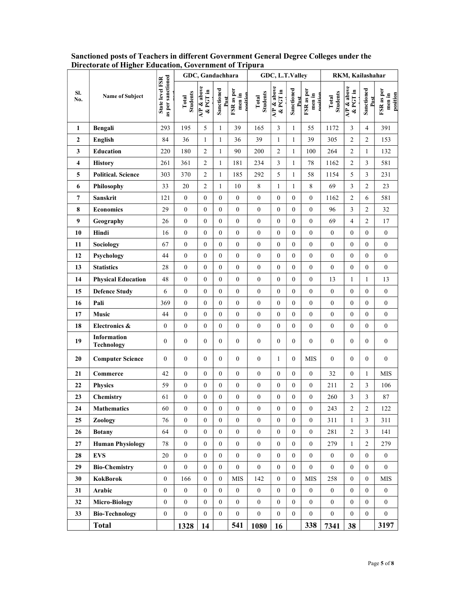|                         |                           |                                      | GDC, Gandachhara         |                        |                    | GDC, L.T.Valley                  |                          |                        | RKM, Kailashahar   |                                  |                          |                        |                    |                                  |
|-------------------------|---------------------------|--------------------------------------|--------------------------|------------------------|--------------------|----------------------------------|--------------------------|------------------------|--------------------|----------------------------------|--------------------------|------------------------|--------------------|----------------------------------|
| SI.<br>No.              | Name of Subject           | as per sanctioned<br>State level FSR | <b>Students</b><br>Total | AP & above<br>& PGT in | Sanctioned<br>Post | FSR as per<br>men in<br>nosition | <b>Students</b><br>Total | AP & above<br>& PGT in | Sanctioned<br>Post | FSR as per<br>men in<br>nosition | <b>Students</b><br>Total | AP & above<br>& PGT in | Sanctioned<br>Post | FSR as per<br>position<br>men in |
| 1                       | Bengali                   | 293                                  | 195                      | 5                      | $\mathbf{1}$       | 39                               | 165                      | 3                      | $\mathbf{1}$       | 55                               | 1172                     | 3                      | 4                  | 391                              |
| $\mathbf{2}$            | <b>English</b>            | 84                                   | 36                       | $\mathbf{1}$           | $\mathbf{1}$       | 36                               | 39                       | $\mathbf{1}$           | $\mathbf{1}$       | 39                               | 305                      | $\overline{2}$         | $\overline{c}$     | 153                              |
| 3                       | <b>Education</b>          | 220                                  | 180                      | $\overline{c}$         | $\mathbf{1}$       | 90                               | 200                      | $\overline{c}$         | 1                  | 100                              | 264                      | $\overline{c}$         | $\mathbf{1}$       | 132                              |
| $\overline{\mathbf{4}}$ | <b>History</b>            | 261                                  | 361                      | $\sqrt{2}$             | $\mathbf{1}$       | 181                              | 234                      | $\overline{3}$         | $\mathbf{1}$       | 78                               | 1162                     | $\overline{2}$         | $\mathfrak{Z}$     | 581                              |
| 5                       | <b>Political. Science</b> | 303                                  | 370                      | $\overline{c}$         | $\mathbf{1}$       | 185                              | 292                      | 5                      | 1                  | 58                               | 1154                     | 5                      | $\mathfrak{Z}$     | 231                              |
| 6                       | Philosophy                | 33                                   | 20                       | $\sqrt{2}$             | $\mathbf{1}$       | 10                               | $\,8\,$                  | $\mathbf{1}$           | $\mathbf{1}$       | $8\,$                            | 69                       | 3                      | $\sqrt{2}$         | 23                               |
| 7                       | Sanskrit                  | 121                                  | $\boldsymbol{0}$         | $\mathbf{0}$           | $\boldsymbol{0}$   | $\overline{0}$                   | $\boldsymbol{0}$         | $\overline{0}$         | $\bf{0}$           | $\boldsymbol{0}$                 | 1162                     | $\overline{c}$         | 6                  | 581                              |
| 8                       | <b>Economics</b>          | 29                                   | $\mathbf{0}$             | $\boldsymbol{0}$       | $\boldsymbol{0}$   | $\overline{0}$                   | $\boldsymbol{0}$         | $\boldsymbol{0}$       | $\mathbf{0}$       | $\boldsymbol{0}$                 | 96                       | 3                      | $\overline{c}$     | 32                               |
| 9                       | Geography                 | 26                                   | 0                        | $\boldsymbol{0}$       | $\boldsymbol{0}$   | $\boldsymbol{0}$                 | $\boldsymbol{0}$         | $\boldsymbol{0}$       | $\boldsymbol{0}$   | $\boldsymbol{0}$                 | 69                       | $\overline{4}$         | $\overline{c}$     | 17                               |
| 10                      | Hindi                     | 16                                   | $\overline{0}$           | $\boldsymbol{0}$       | $\boldsymbol{0}$   | $\mathbf{0}$                     | $\boldsymbol{0}$         | $\boldsymbol{0}$       | $\boldsymbol{0}$   | $\boldsymbol{0}$                 | $\boldsymbol{0}$         | $\boldsymbol{0}$       | $\boldsymbol{0}$   | $\boldsymbol{0}$                 |
| 11                      | Sociology                 | 67                                   | $\boldsymbol{0}$         | $\boldsymbol{0}$       | $\boldsymbol{0}$   | $\bf{0}$                         | $\boldsymbol{0}$         | $\boldsymbol{0}$       | $\boldsymbol{0}$   | $\boldsymbol{0}$                 | $\boldsymbol{0}$         | $\boldsymbol{0}$       | $\boldsymbol{0}$   | $\boldsymbol{0}$                 |
| 12                      | Psychology                | 44                                   | 0                        | $\boldsymbol{0}$       | $\boldsymbol{0}$   | $\mathbf{0}$                     | $\boldsymbol{0}$         | $\boldsymbol{0}$       | $\boldsymbol{0}$   | $\boldsymbol{0}$                 | $\boldsymbol{0}$         | $\mathbf{0}$           | $\boldsymbol{0}$   | $\boldsymbol{0}$                 |
| 13                      | <b>Statistics</b>         | 28                                   | 0                        | $\boldsymbol{0}$       | $\boldsymbol{0}$   | $\mathbf{0}$                     | $\boldsymbol{0}$         | $\boldsymbol{0}$       | $\boldsymbol{0}$   | $\boldsymbol{0}$                 | $\boldsymbol{0}$         | $\boldsymbol{0}$       | $\overline{0}$     | $\overline{0}$                   |
| 14                      | <b>Physical Education</b> | 48                                   | 0                        | $\boldsymbol{0}$       | $\mathbf{0}$       | $\mathbf{0}$                     | $\boldsymbol{0}$         | $\overline{0}$         | $\boldsymbol{0}$   | $\boldsymbol{0}$                 | 13                       | -1                     | 1                  | 13                               |
| 15                      | <b>Defence Study</b>      | 6                                    | $\mathbf{0}$             | $\boldsymbol{0}$       | $\mathbf{0}$       | $\overline{0}$                   | $\boldsymbol{0}$         | $\mathbf{0}$           | $\mathbf{0}$       | $\overline{0}$                   | $\boldsymbol{0}$         | $\mathbf{0}$           | $\boldsymbol{0}$   | $\mathbf{0}$                     |
| 16                      | Pali                      | 369                                  | $\overline{0}$           | $\mathbf{0}$           | $\boldsymbol{0}$   | $\mathbf{0}$                     | $\boldsymbol{0}$         | $\mathbf{0}$           | $\boldsymbol{0}$   | $\boldsymbol{0}$                 | $\boldsymbol{0}$         | $\mathbf{0}$           | $\boldsymbol{0}$   | $\boldsymbol{0}$                 |
| 17                      | Music                     | 44                                   | $\overline{0}$           | $\boldsymbol{0}$       | $\boldsymbol{0}$   | $\overline{0}$                   | $\boldsymbol{0}$         | $\boldsymbol{0}$       | $\boldsymbol{0}$   | $\boldsymbol{0}$                 | $\mathbf{0}$             | $\boldsymbol{0}$       | $\boldsymbol{0}$   | $\boldsymbol{0}$                 |
| 18                      | Electronics &             | $\boldsymbol{0}$                     | $\boldsymbol{0}$         | $\boldsymbol{0}$       | $\boldsymbol{0}$   | $\boldsymbol{0}$                 | $\boldsymbol{0}$         | $\boldsymbol{0}$       | $\boldsymbol{0}$   | $\boldsymbol{0}$                 | $\boldsymbol{0}$         | $\boldsymbol{0}$       | $\boldsymbol{0}$   | $\boldsymbol{0}$                 |
| 19                      | Information<br>Technology | $\theta$                             | $\boldsymbol{0}$         | $\boldsymbol{0}$       | $\overline{0}$     | $\overline{0}$                   | $\boldsymbol{0}$         | $\overline{0}$         | $\mathbf{0}$       | $\mathbf{0}$                     | $\mathbf{0}$             | $\mathbf{0}$           | $\mathbf{0}$       | $\boldsymbol{0}$                 |
| 20                      | <b>Computer Science</b>   | $\theta$                             | $\overline{0}$           | $\boldsymbol{0}$       | $\overline{0}$     | $\overline{0}$                   | $\boldsymbol{0}$         | 1                      | $\mathbf{0}$       | <b>MIS</b>                       | $\boldsymbol{0}$         | $\overline{0}$         | $\mathbf{0}$       | $\boldsymbol{0}$                 |
| 21                      | Commerce                  | 42                                   | $\boldsymbol{0}$         | $\boldsymbol{0}$       | $\mathbf{0}$       | $\boldsymbol{0}$                 | $\boldsymbol{0}$         | $\boldsymbol{0}$       | $\boldsymbol{0}$   | $\mathbf{0}$                     | 32                       | $\boldsymbol{0}$       | $\mathbf{1}$       | MIS                              |
| 22                      | <b>Physics</b>            | 59                                   | $\boldsymbol{0}$         | $\boldsymbol{0}$       | $\boldsymbol{0}$   | $\mathbf{0}$                     | $\boldsymbol{0}$         | $\boldsymbol{0}$       | $\boldsymbol{0}$   | $\boldsymbol{0}$                 | 211                      | 2                      | $\mathfrak{Z}$     | 106                              |
| 23                      | Chemistry                 | 61                                   | $\boldsymbol{0}$         | $\boldsymbol{0}$       | $\boldsymbol{0}$   | $\boldsymbol{0}$                 | $\boldsymbol{0}$         | $\boldsymbol{0}$       | $\boldsymbol{0}$   | $\boldsymbol{0}$                 | 260                      | 3                      | $\mathfrak{Z}$     | 87                               |
| ${\bf 24}$              | <b>Mathematics</b>        | 60                                   | $\boldsymbol{0}$         | $\boldsymbol{0}$       | $\boldsymbol{0}$   | $\Omega$<br>$\mathbf v$          | $\boldsymbol{0}$         | $\Omega$<br>v          | $\boldsymbol{0}$   | $\boldsymbol{0}$                 | 243                      | $\sqrt{2}$             | $\boldsymbol{2}$   | 122                              |
| 25                      | Zoology                   | 76                                   | $\overline{0}$           | $\boldsymbol{0}$       | $\mathbf{0}$       | $\mathbf{0}$                     | $\mathbf{0}$             | $\overline{0}$         | $\mathbf{0}$       | $\mathbf{0}$                     | 311                      | $\mathbf{1}$           | $\mathfrak{Z}$     | 311                              |
| 26                      | <b>Botany</b>             | 64                                   | $\mathbf{0}$             | $\boldsymbol{0}$       | $\boldsymbol{0}$   | $\mathbf{0}$                     | $\mathbf{0}$             | $\boldsymbol{0}$       | $\overline{0}$     | $\overline{0}$                   | 281                      | $\sqrt{2}$             | $\mathfrak{Z}$     | 141                              |
| 27                      | <b>Human Physiology</b>   | 78                                   | $\mathbf{0}$             | $\boldsymbol{0}$       | $\mathbf{0}$       | $\mathbf{0}$                     | $\boldsymbol{0}$         | $\mathbf{0}$           | $\boldsymbol{0}$   | $\overline{0}$                   | 279                      | -1                     | $\sqrt{2}$         | 279                              |
| 28                      | <b>EVS</b>                | 20                                   | $\mathbf{0}$             | $\mathbf{0}$           | $\mathbf{0}$       | $\mathbf{0}$                     | $\mathbf{0}$             | $\boldsymbol{0}$       | $\boldsymbol{0}$   | $\mathbf{0}$                     | $\overline{0}$           | $\mathbf{0}$           | $\boldsymbol{0}$   | $\overline{0}$                   |
| 29                      | <b>Bio-Chemistry</b>      | $\mathbf{0}$                         | $\overline{0}$           | $\boldsymbol{0}$       | $\boldsymbol{0}$   | $\mathbf{0}$                     | $\boldsymbol{0}$         | $\boldsymbol{0}$       | $\boldsymbol{0}$   | $\mathbf{0}$                     | $\mathbf{0}$             | $\boldsymbol{0}$       | $\boldsymbol{0}$   | $\overline{0}$                   |
| 30                      | <b>KokBorok</b>           | $\overline{0}$                       | 166                      | $\boldsymbol{0}$       | $\boldsymbol{0}$   | MIS                              | 142                      | $\boldsymbol{0}$       | $\boldsymbol{0}$   | MIS                              | 258                      | $\boldsymbol{0}$       | $\boldsymbol{0}$   | ${\rm MIS}$                      |
| 31                      | Arabic                    | $\boldsymbol{0}$                     | $\boldsymbol{0}$         | $\boldsymbol{0}$       | $\boldsymbol{0}$   | $\overline{0}$                   | $\boldsymbol{0}$         | $\boldsymbol{0}$       | $\boldsymbol{0}$   | $\mathbf{0}$                     | $\boldsymbol{0}$         | $\boldsymbol{0}$       | $\boldsymbol{0}$   | $\mathbf{0}$                     |
| 32                      | Micro-Biology             | $\overline{0}$                       | $\overline{0}$           | $\boldsymbol{0}$       | $\mathbf{0}$       | $\overline{0}$                   | $\boldsymbol{0}$         | $\overline{0}$         | $\mathbf{0}$       | $\overline{0}$                   | $\boldsymbol{0}$         | $\mathbf{0}$           | $\overline{0}$     | $\overline{0}$                   |
| 33                      | <b>Bio-Technology</b>     | $\boldsymbol{0}$                     | $\mathbf{0}$             | $\boldsymbol{0}$       | $\mathbf{0}$       | $\mathbf{0}$                     | $\boldsymbol{0}$         | $\overline{0}$         | $\overline{0}$     | $\overline{0}$                   | $\boldsymbol{0}$         | $\mathbf{0}$           | $\overline{0}$     | $\overline{0}$                   |
|                         | <b>Total</b>              |                                      | 1328                     | 14                     |                    | 541                              | 1080                     | 16                     |                    | 338                              | 7341                     | 38                     |                    | 3197                             |

Sanctioned posts of Teachers in different Government General Degree Colleges under the Directorate of Higher Education, Government of Tripura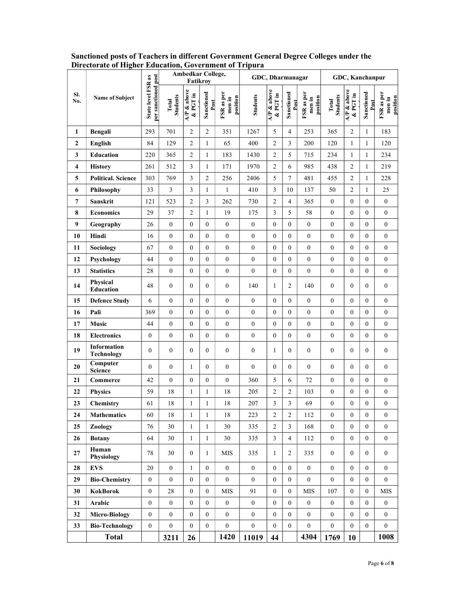|                  |                            |                                                  |                          | Ambedkar College,<br>Fatikroy       |                    |                                  | GDC, Dharmanagar |                        | GDC, Kanchanpur    |                                  |                          |                                     |                    |                                  |
|------------------|----------------------------|--------------------------------------------------|--------------------------|-------------------------------------|--------------------|----------------------------------|------------------|------------------------|--------------------|----------------------------------|--------------------------|-------------------------------------|--------------------|----------------------------------|
| SI.<br>No.       | Name of Subject            | per sanctioned post<br><b>State level FSR as</b> | <b>Students</b><br>Total | $\overline{AP}$ & above<br>& PGT in | Sanctioned<br>Post | FSR as per<br>position<br>men in | <b>Students</b>  | AP & above<br>& PGT in | Sanctioned<br>Post | FSR as per<br>position<br>men in | <b>Students</b><br>Total | $\overline{AP}$ & above<br>& PGT in | Sanctioned<br>Post | FSR as per<br>position<br>men in |
| 1                | Bengali                    | 293                                              | 701                      | $\overline{c}$                      | $\sqrt{2}$         | 351                              | 1267             | 5                      | 4                  | 253                              | 365                      | $\overline{2}$                      | $\mathbf{1}$       | 183                              |
| $\boldsymbol{2}$ | English                    | 84                                               | 129                      | $\boldsymbol{2}$                    | $\mathbf{1}$       | 65                               | 400              | $\overline{2}$         | 3                  | 200                              | 120                      | $\mathbf{1}$                        | $\mathbf{1}$       | 120                              |
| 3                | Education                  | 220                                              | 365                      | $\overline{c}$                      | $\mathbf{1}$       | 183                              | 1430             | $\overline{2}$         | 5                  | 715                              | 234                      | $\mathbf{1}$                        | $\mathbf{1}$       | 234                              |
| 4                | <b>History</b>             | 261                                              | 512                      | 3                                   | $\mathbf{1}$       | 171                              | 1970             | $\overline{2}$         | 6                  | 985                              | 438                      | $\overline{2}$                      | $\mathbf{1}$       | 219                              |
| 5                | <b>Political. Science</b>  | 303                                              | 769                      | 3                                   | $\sqrt{2}$         | 256                              | 2406             | 5                      | $\boldsymbol{7}$   | 481                              | 455                      | $\overline{2}$                      | $\mathbf{1}$       | 228                              |
| 6                | Philosophy                 | 33                                               | 3                        | 3                                   | $\mathbf{1}$       | 1                                | 410              | $\mathfrak{Z}$         | 10                 | 137                              | 50                       | $\overline{c}$                      | $\mathbf{1}$       | 25                               |
| $\overline{7}$   | Sanskrit                   | 121                                              | 523                      | $\overline{c}$                      | $\mathfrak{Z}$     | 262                              | 730              | $\overline{2}$         | 4                  | 365                              | $\mathbf{0}$             | $\mathbf{0}$                        | $\overline{0}$     | $\mathbf{0}$                     |
| 8                | <b>Economics</b>           | 29                                               | 37                       | $\overline{c}$                      | $\mathbf{1}$       | 19                               | 175              | 3                      | 5                  | 58                               | $\boldsymbol{0}$         | $\mathbf{0}$                        | $\boldsymbol{0}$   | $\boldsymbol{0}$                 |
| 9                | Geography                  | 26                                               | $\boldsymbol{0}$         | $\overline{0}$                      | $\mathbf{0}$       | $\mathbf{0}$                     | $\boldsymbol{0}$ | $\overline{0}$         | $\boldsymbol{0}$   | $\boldsymbol{0}$                 | $\boldsymbol{0}$         | $\mathbf{0}$                        | $\mathbf{0}$       | $\mathbf{0}$                     |
| 10               | Hindi                      | 16                                               | $\boldsymbol{0}$         | $\overline{0}$                      | $\mathbf{0}$       | $\boldsymbol{0}$                 | $\boldsymbol{0}$ | $\overline{0}$         | $\mathbf{0}$       | $\boldsymbol{0}$                 | $\boldsymbol{0}$         | $\mathbf{0}$                        | $\boldsymbol{0}$   | $\boldsymbol{0}$                 |
| 11               | Sociology                  | 67                                               | $\boldsymbol{0}$         | $\overline{0}$                      | $\mathbf{0}$       | $\mathbf{0}$                     | $\mathbf{0}$     | $\overline{0}$         | $\mathbf{0}$       | $\mathbf{0}$                     | $\overline{0}$           | $\mathbf{0}$                        | $\mathbf{0}$       | $\overline{0}$                   |
| 12               | Psychology                 | 44                                               | $\boldsymbol{0}$         | $\overline{0}$                      | $\mathbf{0}$       | $\mathbf{0}$                     | $\boldsymbol{0}$ | $\overline{0}$         | $\mathbf{0}$       | $\boldsymbol{0}$                 | $\mathbf{0}$             | $\mathbf{0}$                        | $\boldsymbol{0}$   | $\boldsymbol{0}$                 |
| 13               | <b>Statistics</b>          | 28                                               | $\boldsymbol{0}$         | $\overline{0}$                      | $\mathbf{0}$       | $\mathbf{0}$                     | $\mathbf{0}$     | $\overline{0}$         | $\boldsymbol{0}$   | $\mathbf{0}$                     | $\boldsymbol{0}$         | $\mathbf{0}$                        | $\mathbf{0}$       | $\mathbf{0}$                     |
| 14               | Physical<br>Education      | 48                                               | $\boldsymbol{0}$         | $\Omega$                            | $\mathbf{0}$       | $\mathbf{0}$                     | 140              | 1                      | $\overline{c}$     | 140                              | $\boldsymbol{0}$         | $\theta$                            | $\boldsymbol{0}$   | $\boldsymbol{0}$                 |
| 15               | <b>Defence Study</b>       | 6                                                | $\boldsymbol{0}$         | $\theta$                            | $\mathbf{0}$       | $\boldsymbol{0}$                 | $\boldsymbol{0}$ | $\mathbf{0}$           | $\boldsymbol{0}$   | $\boldsymbol{0}$                 | $\boldsymbol{0}$         | $\mathbf{0}$                        | $\boldsymbol{0}$   | $\boldsymbol{0}$                 |
| 16               | Pali                       | 369                                              | $\boldsymbol{0}$         | $\overline{0}$                      | $\mathbf{0}$       | $\boldsymbol{0}$                 | $\boldsymbol{0}$ | $\mathbf{0}$           | $\boldsymbol{0}$   | $\boldsymbol{0}$                 | $\mathbf{0}$             | $\boldsymbol{0}$                    | $\boldsymbol{0}$   | $\boldsymbol{0}$                 |
| 17               | Music                      | 44                                               | $\boldsymbol{0}$         | $\boldsymbol{0}$                    | $\boldsymbol{0}$   | $\boldsymbol{0}$                 | $\boldsymbol{0}$ | $\mathbf{0}$           | $\boldsymbol{0}$   | $\boldsymbol{0}$                 | $\boldsymbol{0}$         | $\bf{0}$                            | $\boldsymbol{0}$   | $\mathbf{0}$                     |
| 18               | <b>Electronics</b>         | $\boldsymbol{0}$                                 | $\boldsymbol{0}$         | $\boldsymbol{0}$                    | $\mathbf{0}$       | $\boldsymbol{0}$                 | $\boldsymbol{0}$ | $\mathbf{0}$           | $\boldsymbol{0}$   | $\boldsymbol{0}$                 | $\mathbf{0}$             | $\boldsymbol{0}$                    | $\mathbf{0}$       | $\boldsymbol{0}$                 |
| 19               | Information<br>Technology  | $\mathbf{0}$                                     | $\boldsymbol{0}$         | $\Omega$                            | $\mathbf{0}$       | $\mathbf{0}$                     | $\mathbf{0}$     | 1                      | $\theta$           | $\boldsymbol{0}$                 | $\mathbf{0}$             | $\overline{0}$                      | $\boldsymbol{0}$   | $\boldsymbol{0}$                 |
| 20               | Computer<br><b>Science</b> | $\mathbf{0}$                                     | $\boldsymbol{0}$         | 1                                   | $\mathbf{0}$       | $\mathbf{0}$                     | $\mathbf{0}$     | $\mathbf{0}$           | $\mathbf{0}$       | $\boldsymbol{0}$                 | $\boldsymbol{0}$         | $\mathbf{0}$                        | $\mathbf{0}$       | $\boldsymbol{0}$                 |
| 21               | Commerce                   | 42                                               | $\mathbf{0}$             | $\mathbf{0}$                        | $\mathbf{0}$       | $\theta$                         | 360              | 5                      | 6                  | 72                               | $\overline{0}$           | $\mathbf{0}$                        | $\boldsymbol{0}$   | $\overline{0}$                   |
| 22               | <b>Physics</b>             | 59                                               | 18                       |                                     | $\mathbf{1}$       | 18                               | 205              | 2                      | $\overline{c}$     | 103                              | $\boldsymbol{0}$         | $\boldsymbol{0}$                    | $\boldsymbol{0}$   | $\boldsymbol{0}$                 |
| 23               | Chemistry                  | 61                                               | 18                       |                                     | $\mathbf{1}$       | 18                               | 207              | 3                      | 3                  | 69                               | $\boldsymbol{0}$         | $\mathbf{0}$                        | $\boldsymbol{0}$   | $\boldsymbol{0}$                 |
| 24               | <b>Mathematics</b>         | 60                                               | 18                       | $\mathbf{1}$                        | $\mathbf{1}$       | 18                               | 223              | 2                      | $\overline{c}$     | 112                              | $\boldsymbol{0}$         | $\boldsymbol{0}$                    | $\boldsymbol{0}$   | $\boldsymbol{0}$                 |
| 25               | Zoology                    | 76                                               | 30                       | $\mathbf{1}$                        | $\mathbf{1}$       | 30                               | 335              | $\overline{2}$         | $\mathfrak{Z}$     | 168                              | $\overline{0}$           | $\mathbf{0}$                        | $\overline{0}$     | $\overline{0}$                   |
| 26               | <b>Botany</b>              | 64                                               | 30                       | $\mathbf{1}$                        | $\mathbf{1}$       | 30                               | 335              | $\overline{3}$         | $\overline{4}$     | 112                              | $\boldsymbol{0}$         | $\boldsymbol{0}$                    | $\boldsymbol{0}$   | $\boldsymbol{0}$                 |
| 27               | Human<br>Physiology        | 78                                               | 30                       | $\overline{0}$                      | $\mathbf{1}$       | <b>MIS</b>                       | 335              | $\mathbf{1}$           | 2                  | 335                              | $\mathbf{0}$             | $\overline{0}$                      | $\overline{0}$     | $\boldsymbol{0}$                 |
| 28               | <b>EVS</b>                 | 20                                               | $\boldsymbol{0}$         | 1                                   | $\mathbf{0}$       | $\overline{0}$                   | $\overline{0}$   | $\boldsymbol{0}$       | $\mathbf{0}$       | $\overline{0}$                   | $\mathbf{0}$             | $\mathbf{0}$                        | $\overline{0}$     | $\boldsymbol{0}$                 |
| 29               | <b>Bio-Chemistry</b>       | $\overline{0}$                                   | $\boldsymbol{0}$         | $\overline{0}$                      | $\mathbf{0}$       | $\mathbf{0}$                     | $\boldsymbol{0}$ | $\mathbf{0}$           | $\mathbf{0}$       | $\mathbf{0}$                     | $\mathbf{0}$             | $\bf{0}$                            | $\overline{0}$     | $\mathbf{0}$                     |
| 30               | KokBorok                   | $\mathbf{0}$                                     | $28\,$                   | $\overline{0}$                      | $\mathbf{0}$       | <b>MIS</b>                       | 91               | $\mathbf{0}$           | $\bf{0}$           | <b>MIS</b>                       | 107                      | $\bf{0}$                            | $\boldsymbol{0}$   | <b>MIS</b>                       |
| 31               | Arabic                     | $\overline{0}$                                   | $\boldsymbol{0}$         | $\overline{0}$                      | $\boldsymbol{0}$   | $\mathbf{0}$                     | $\boldsymbol{0}$ | $\mathbf{0}$           | $\boldsymbol{0}$   | $\mathbf{0}$                     | $\boldsymbol{0}$         | $\mathbf{0}$                        | $\boldsymbol{0}$   | $\mathbf{0}$                     |
| 32               | <b>Micro-Biology</b>       | $\overline{0}$                                   | $\boldsymbol{0}$         | $\overline{0}$                      | $\boldsymbol{0}$   | $\boldsymbol{0}$                 | $\boldsymbol{0}$ | $\mathbf{0}$           | $\boldsymbol{0}$   | $\boldsymbol{0}$                 | $\mathbf{0}$             | $\mathbf{0}$                        | $\overline{0}$     | $\boldsymbol{0}$                 |
| 33               | <b>Bio-Technology</b>      | $\overline{0}$                                   | $\boldsymbol{0}$         | $\mathbf{0}$                        | $\boldsymbol{0}$   | $\mathbf{0}$                     | $\boldsymbol{0}$ | $\overline{0}$         | $\boldsymbol{0}$   | $\boldsymbol{0}$                 | $\mathbf{0}$             | $\mathbf{0}$                        | $\boldsymbol{0}$   | $\mathbf{0}$                     |
|                  | <b>Total</b>               |                                                  | 3211                     | 26                                  |                    | 1420                             | 11019            | 44                     |                    | 4304                             | 1769                     | 10                                  |                    | 1008                             |

Sanctioned posts of Teachers in different Government General Degree Colleges under the Directorate of Higher Education, Government of Tripura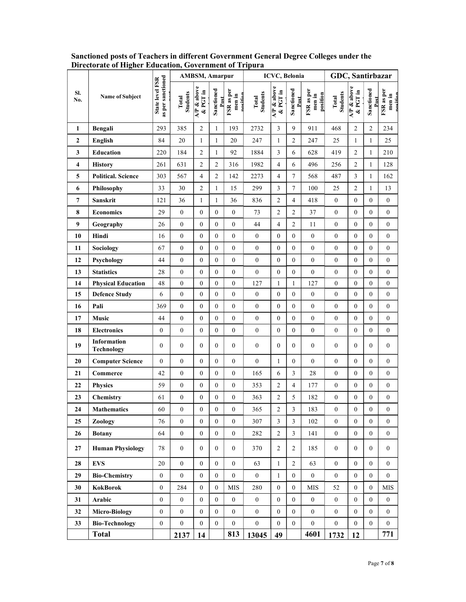|                |                                         |                                      |                          | <b>AMBSM, Amarpur</b>   |                    |                                  | <b>ICVC, Belonia</b>     | GDC, Santirbazar         |                          |                                  |                   |                        |                    |                                  |
|----------------|-----------------------------------------|--------------------------------------|--------------------------|-------------------------|--------------------|----------------------------------|--------------------------|--------------------------|--------------------------|----------------------------------|-------------------|------------------------|--------------------|----------------------------------|
| SI.<br>No.     | <b>Name of Subject</b>                  | State level FSR<br>as per sanctioned | <b>Students</b><br>Total | A/P & above<br>& PGT in | Sanctioned<br>Post | FSR as per<br>nosition<br>men in | <b>Students</b><br>Total | $AP &$ above<br>& PGT in | Sanctioned<br>Post       | FSR as per<br>position<br>men in | Students<br>Total | AP & above<br>& PGT in | Sanctioned<br>Post | FSR as per<br>men in<br>noritiar |
| 1              | Bengali                                 | 293                                  | 385                      | $\overline{2}$          | 1                  | 193                              | 2732                     | 3                        | 9                        | 911                              | 468               | $\overline{c}$         | $\sqrt{2}$         | 234                              |
| $\mathbf{2}$   | <b>English</b>                          | 84                                   | 20                       | $\mathbf{1}$            | 1                  | 20                               | 247                      | 1                        | $\overline{c}$           | 247                              | 25                | 1                      | 1                  | 25                               |
| $\mathbf{3}$   | <b>Education</b>                        | 220                                  | 184                      | $\sqrt{2}$              | 1                  | 92                               | 1884                     | 3                        | 6                        | 628                              | 419               | $\sqrt{2}$             | $\mathbf{1}$       | 210                              |
| 4              | <b>History</b>                          | 261                                  | 631                      | $\boldsymbol{2}$        | 2                  | 316                              | 1982                     | $\overline{4}$           | 6                        | 496                              | 256               | $\overline{c}$         | $\mathbf{1}$       | 128                              |
| 5              | <b>Political. Science</b>               | 303                                  | 567                      | $\overline{4}$          | $\boldsymbol{2}$   | 142                              | 2273                     | $\overline{4}$           | $\tau$                   | 568                              | 487               | $\mathfrak{Z}$         | $\mathbf{1}$       | 162                              |
| 6              | Philosophy                              | 33                                   | 30                       | $\mathfrak{2}$          | $\mathbf{1}$       | 15                               | 299                      | 3                        | $\tau$                   | 100                              | 25                | $\overline{c}$         | $\mathbf{1}$       | 13                               |
| $\overline{7}$ | Sanskrit                                | 121                                  | 36                       | $\mathbf{1}$            | 1                  | 36                               | 836                      | $\overline{c}$           | $\overline{4}$           | 418                              | $\mathbf{0}$      | $\boldsymbol{0}$       | $\boldsymbol{0}$   | $\boldsymbol{0}$                 |
| 8              | <b>Economics</b>                        | 29                                   | $\mathbf{0}$             | $\mathbf{0}$            | $\boldsymbol{0}$   | $\boldsymbol{0}$                 | 73                       | $\overline{2}$           | $\overline{c}$           | 37                               | $\overline{0}$    | $\boldsymbol{0}$       | $\boldsymbol{0}$   | $\overline{0}$                   |
| 9              | Geography                               | 26                                   | $\mathbf{0}$             | $\mathbf{0}$            | $\boldsymbol{0}$   | $\boldsymbol{0}$                 | 44                       | $\overline{4}$           | $\overline{c}$           | 11                               | $\overline{0}$    | $\mathbf{0}$           | $\boldsymbol{0}$   | $\overline{0}$                   |
| 10             | Hindi                                   | 16                                   | $\boldsymbol{0}$         | $\mathbf{0}$            | 0                  | $\boldsymbol{0}$                 | $\boldsymbol{0}$         | $\mathbf{0}$             | $\boldsymbol{0}$         | $\boldsymbol{0}$                 | $\overline{0}$    | $\overline{0}$         | $\boldsymbol{0}$   | $\overline{0}$                   |
| 11             | Sociology                               | 67                                   | $\boldsymbol{0}$         | $\boldsymbol{0}$        | $\boldsymbol{0}$   | $\boldsymbol{0}$                 | $\boldsymbol{0}$         | $\boldsymbol{0}$         | $\boldsymbol{0}$         | $\boldsymbol{0}$                 | $\overline{0}$    | $\boldsymbol{0}$       | $\boldsymbol{0}$   | $\overline{0}$                   |
| 12             | Psychology                              | 44                                   | $\mathbf{0}$             | $\mathbf{0}$            | $\boldsymbol{0}$   | $\boldsymbol{0}$                 | $\boldsymbol{0}$         | $\boldsymbol{0}$         | $\overline{0}$           | $\overline{0}$                   | $\overline{0}$    | $\mathbf{0}$           | $\mathbf{0}$       | $\overline{0}$                   |
| 13             | <b>Statistics</b>                       | 28                                   | $\boldsymbol{0}$         | $\mathbf{0}$            | $\overline{0}$     | $\boldsymbol{0}$                 | $\boldsymbol{0}$         | $\mathbf{0}$             | $\boldsymbol{0}$         | $\boldsymbol{0}$                 | $\boldsymbol{0}$  | $\boldsymbol{0}$       | $\boldsymbol{0}$   | $\overline{0}$                   |
| 14             | <b>Physical Education</b>               | 48                                   | $\mathbf{0}$             | $\boldsymbol{0}$        | $\boldsymbol{0}$   | $\boldsymbol{0}$                 | 127                      | $\mathbf{1}$             | $\mathbf{1}$             | 127                              | $\overline{0}$    | $\boldsymbol{0}$       | $\boldsymbol{0}$   | $\overline{0}$                   |
| 15             | <b>Defence Study</b>                    | 6                                    | $\mathbf{0}$             | $\mathbf{0}$            | $\boldsymbol{0}$   | $\boldsymbol{0}$                 | $\boldsymbol{0}$         | $\mathbf{0}$             | $\boldsymbol{0}$         | $\overline{0}$                   | $\overline{0}$    | $\boldsymbol{0}$       | $\boldsymbol{0}$   | $\boldsymbol{0}$                 |
| 16             | Pali                                    | 369                                  | $\boldsymbol{0}$         | $\mathbf{0}$            | $\boldsymbol{0}$   | $\boldsymbol{0}$                 | $\mathbf{0}$             | $\boldsymbol{0}$         | $\boldsymbol{0}$         | $\mathbf{0}$                     | $\overline{0}$    | $\boldsymbol{0}$       | $\boldsymbol{0}$   | $\overline{0}$                   |
| 17             | Music                                   | 44                                   | $\boldsymbol{0}$         | $\boldsymbol{0}$        | $\boldsymbol{0}$   | $\boldsymbol{0}$                 | $\boldsymbol{0}$         | $\boldsymbol{0}$         | $\boldsymbol{0}$         | $\boldsymbol{0}$                 | $\overline{0}$    | $\boldsymbol{0}$       | $\boldsymbol{0}$   | $\overline{0}$                   |
| 18             | <b>Electronics</b>                      | $\boldsymbol{0}$                     | $\boldsymbol{0}$         | $\boldsymbol{0}$        | $\boldsymbol{0}$   | $\boldsymbol{0}$                 | $\mathbf{0}$             | $\boldsymbol{0}$         | $\boldsymbol{0}$         | $\boldsymbol{0}$                 | $\overline{0}$    | $\boldsymbol{0}$       | $\boldsymbol{0}$   | $\overline{0}$                   |
| 19             | <b>Information</b><br><b>Technology</b> | $\mathbf{0}$                         | $\boldsymbol{0}$         | $\mathbf{0}$            | $\overline{0}$     | $\boldsymbol{0}$                 | $\boldsymbol{0}$         | $\mathbf{0}$             | $\boldsymbol{0}$         | $\mathbf{0}$                     | $\overline{0}$    | $\overline{0}$         | $\boldsymbol{0}$   | $\mathbf{0}$                     |
| 20             | <b>Computer Science</b>                 | $\overline{0}$                       | $\boldsymbol{0}$         | $\mathbf{0}$            | 0                  | $\boldsymbol{0}$                 | $\boldsymbol{0}$         | 1                        | $\boldsymbol{0}$         | $\mathbf{0}$                     | $\overline{0}$    | $\boldsymbol{0}$       | $\boldsymbol{0}$   | $\overline{0}$                   |
| 21             | Commerce                                | 42                                   | $\boldsymbol{0}$         | $\boldsymbol{0}$        | $\boldsymbol{0}$   | $\boldsymbol{0}$                 | 165                      | 6                        | 3                        | 28                               | $\overline{0}$    | $\boldsymbol{0}$       | $\boldsymbol{0}$   | $\boldsymbol{0}$                 |
| 22             | <b>Physics</b>                          | 59                                   | $\boldsymbol{0}$         | $\mathbf{0}$            | $\boldsymbol{0}$   | $\boldsymbol{0}$                 | 353                      | $\overline{c}$           | $\overline{\mathcal{A}}$ | 177                              | $\overline{0}$    | $\mathbf{0}$           | $\boldsymbol{0}$   | $\overline{0}$                   |
| 23             | Chemistry                               | 61                                   | $\boldsymbol{0}$         | $\boldsymbol{0}$        | $\boldsymbol{0}$   | $\boldsymbol{0}$                 | 363                      | $\mathfrak{2}$           | 5                        | 182                              | $\boldsymbol{0}$  | $\boldsymbol{0}$       | $\boldsymbol{0}$   | $\overline{0}$                   |
| 24             | <b>Mathematics</b>                      | 60                                   | $\overline{0}$           | $\Omega$                | $\Omega$           | $\theta$                         | 365                      | $\overline{2}$           | 3                        | 183                              | $\Omega$          | $\Omega$               | $\Omega$           | $\theta$                         |
| 25             | Zoology                                 | 76                                   | $\overline{0}$           | $\overline{0}$          | $\overline{0}$     | $\mathbf{0}$                     | 307                      | $\overline{3}$           | $\mathfrak{Z}$           | 102                              | $\overline{0}$    | $\mathbf{0}$           | $\mathbf{0}$       | $\overline{0}$                   |
| 26             | <b>Botany</b>                           | 64                                   | $\boldsymbol{0}$         | $\boldsymbol{0}$        | $\overline{0}$     | $\mathbf{0}$                     | 282                      | $\overline{c}$           | $\mathfrak{Z}$           | 141                              | $\boldsymbol{0}$  | $\boldsymbol{0}$       | $\mathbf{0}$       | $\mathbf{0}$                     |
| 27             | <b>Human Physiology</b>                 | 78                                   | $\overline{0}$           | $\overline{0}$          | $\overline{0}$     | $\mathbf{0}$                     | 370                      | 2                        | $\overline{2}$           | 185                              | $\overline{0}$    | $\overline{0}$         | $\overline{0}$     | $\overline{0}$                   |
| 28             | <b>EVS</b>                              | 20                                   | $\boldsymbol{0}$         | $\mathbf{0}$            | $\overline{0}$     | $\boldsymbol{0}$                 | 63                       | 1                        | $\overline{c}$           | 63                               | $\overline{0}$    | $\mathbf{0}$           | $\mathbf{0}$       | $\overline{0}$                   |
| 29             | <b>Bio-Chemistry</b>                    | $\overline{0}$                       | $\overline{0}$           | $\overline{0}$          | $\overline{0}$     | $\mathbf{0}$                     | $\overline{0}$           | 1                        | $\overline{0}$           | $\overline{0}$                   | $\overline{0}$    | $\overline{0}$         | $\overline{0}$     | $\overline{0}$                   |
| 30             | <b>KokBorok</b>                         | $\boldsymbol{0}$                     | 284                      | $\mathbf{0}$            | $\boldsymbol{0}$   | $\rm{MIS}$                       | 280                      | $\mathbf{0}$             | $\overline{0}$           | MIS                              | 52                | $\mathbf{0}$           | $\boldsymbol{0}$   | <b>MIS</b>                       |
| 31             | Arabic                                  | $\overline{0}$                       | $\overline{0}$           | $\mathbf{0}$            | $\overline{0}$     | $\mathbf{0}$                     | $\mathbf{0}$             | $\mathbf{0}$             | $\overline{0}$           | $\mathbf{0}$                     | $\overline{0}$    | $\mathbf{0}$           | $\mathbf{0}$       | $\overline{0}$                   |
| 32             | <b>Micro-Biology</b>                    | $\overline{0}$                       | $\mathbf{0}$             | $\overline{0}$          | $\overline{0}$     | $\boldsymbol{0}$                 | $\boldsymbol{0}$         | $\mathbf{0}$             | $\mathbf{0}$             | $\overline{0}$                   | $\overline{0}$    | $\mathbf{0}$           | $\mathbf{0}$       | $\overline{0}$                   |
| 33             | <b>Bio-Technology</b>                   | $\boldsymbol{0}$                     | $\boldsymbol{0}$         | $\mathbf{0}$            | $\overline{0}$     | $\boldsymbol{0}$                 | $\mathbf{0}$             | $\mathbf{0}$             | $\boldsymbol{0}$         | $\overline{0}$                   | $\overline{0}$    | $\mathbf{0}$           | $\mathbf{0}$       | $\overline{0}$                   |
|                | <b>Total</b>                            |                                      | 2137                     | 14                      |                    | 813                              | 13045                    | 49                       |                          | 4601                             | 1732              | 12                     |                    | 771                              |

Sanctioned posts of Teachers in different Government General Degree Colleges under the Directorate of Higher Education, Government of Tripura